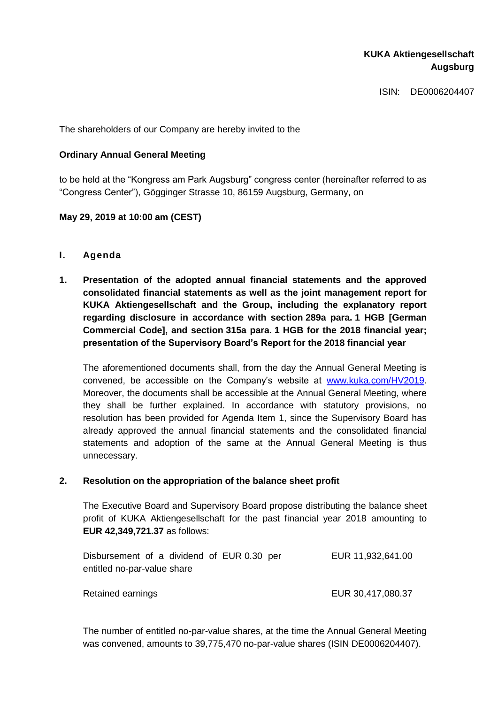# **KUKA Aktiengesellschaft Augsburg**

ISIN: DE0006204407

The shareholders of our Company are hereby invited to the

## **Ordinary Annual General Meeting**

to be held at the "Kongress am Park Augsburg" congress center (hereinafter referred to as "Congress Center"), Gögginger Strasse 10, 86159 Augsburg, Germany, on

## **May 29, 2019 at 10:00 am (CEST)**

- **I. Agenda**
- **1. Presentation of the adopted annual financial statements and the approved consolidated financial statements as well as the joint management report for KUKA Aktiengesellschaft and the Group, including the explanatory report regarding disclosure in accordance with section 289a para. 1 HGB [German Commercial Code], and section 315a para. 1 HGB for the 2018 financial year; presentation of the Supervisory Board's Report for the 2018 financial year**

The aforementioned documents shall, from the day the Annual General Meeting is convened, be accessible on the Company's website at [www.kuka.com/HV2019.](http://www.kuka.com/HV2019) Moreover, the documents shall be accessible at the Annual General Meeting, where they shall be further explained. In accordance with statutory provisions, no resolution has been provided for Agenda Item 1, since the Supervisory Board has already approved the annual financial statements and the consolidated financial statements and adoption of the same at the Annual General Meeting is thus unnecessary.

### **2. Resolution on the appropriation of the balance sheet profit**

The Executive Board and Supervisory Board propose distributing the balance sheet profit of KUKA Aktiengesellschaft for the past financial year 2018 amounting to **EUR 42,349,721.37** as follows:

| Disbursement of a dividend of EUR 0.30 per |  |  |  |  |  |  | EUR 11,932,641.00 |
|--------------------------------------------|--|--|--|--|--|--|-------------------|
| entitled no-par-value share                |  |  |  |  |  |  |                   |
|                                            |  |  |  |  |  |  |                   |

Retained earnings The Contract of the EUR 30,417,080.37

The number of entitled no-par-value shares, at the time the Annual General Meeting was convened, amounts to 39,775,470 no-par-value shares (ISIN DE0006204407).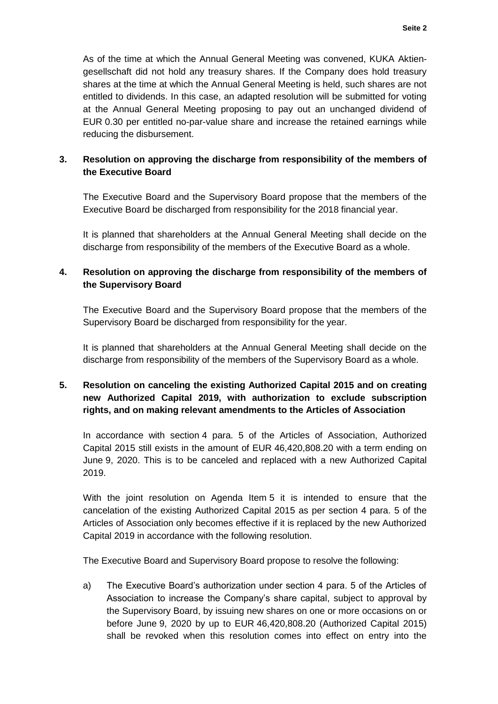As of the time at which the Annual General Meeting was convened, KUKA Aktiengesellschaft did not hold any treasury shares. If the Company does hold treasury shares at the time at which the Annual General Meeting is held, such shares are not entitled to dividends. In this case, an adapted resolution will be submitted for voting at the Annual General Meeting proposing to pay out an unchanged dividend of EUR 0.30 per entitled no-par-value share and increase the retained earnings while reducing the disbursement.

# **3. Resolution on approving the discharge from responsibility of the members of the Executive Board**

The Executive Board and the Supervisory Board propose that the members of the Executive Board be discharged from responsibility for the 2018 financial year.

It is planned that shareholders at the Annual General Meeting shall decide on the discharge from responsibility of the members of the Executive Board as a whole.

# **4. Resolution on approving the discharge from responsibility of the members of the Supervisory Board**

The Executive Board and the Supervisory Board propose that the members of the Supervisory Board be discharged from responsibility for the year.

It is planned that shareholders at the Annual General Meeting shall decide on the discharge from responsibility of the members of the Supervisory Board as a whole.

# **5. Resolution on canceling the existing Authorized Capital 2015 and on creating new Authorized Capital 2019, with authorization to exclude subscription rights, and on making relevant amendments to the Articles of Association**

In accordance with section 4 para. 5 of the Articles of Association, Authorized Capital 2015 still exists in the amount of EUR 46,420,808.20 with a term ending on June 9, 2020. This is to be canceled and replaced with a new Authorized Capital 2019.

With the joint resolution on Agenda Item 5 it is intended to ensure that the cancelation of the existing Authorized Capital 2015 as per section 4 para. 5 of the Articles of Association only becomes effective if it is replaced by the new Authorized Capital 2019 in accordance with the following resolution.

The Executive Board and Supervisory Board propose to resolve the following:

a) The Executive Board's authorization under section 4 para. 5 of the Articles of Association to increase the Company's share capital, subject to approval by the Supervisory Board, by issuing new shares on one or more occasions on or before June 9, 2020 by up to EUR 46,420,808.20 (Authorized Capital 2015) shall be revoked when this resolution comes into effect on entry into the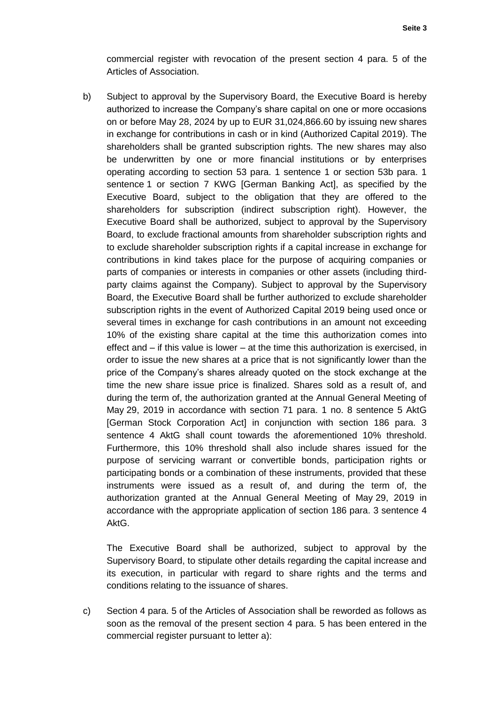commercial register with revocation of the present section 4 para. 5 of the Articles of Association.

b) Subject to approval by the Supervisory Board, the Executive Board is hereby authorized to increase the Company's share capital on one or more occasions on or before May 28, 2024 by up to EUR 31,024,866.60 by issuing new shares in exchange for contributions in cash or in kind (Authorized Capital 2019). The shareholders shall be granted subscription rights. The new shares may also be underwritten by one or more financial institutions or by enterprises operating according to section 53 para. 1 sentence 1 or section 53b para. 1 sentence 1 or section 7 KWG [German Banking Act], as specified by the Executive Board, subject to the obligation that they are offered to the shareholders for subscription (indirect subscription right). However, the Executive Board shall be authorized, subject to approval by the Supervisory Board, to exclude fractional amounts from shareholder subscription rights and to exclude shareholder subscription rights if a capital increase in exchange for contributions in kind takes place for the purpose of acquiring companies or parts of companies or interests in companies or other assets (including thirdparty claims against the Company). Subject to approval by the Supervisory Board, the Executive Board shall be further authorized to exclude shareholder subscription rights in the event of Authorized Capital 2019 being used once or several times in exchange for cash contributions in an amount not exceeding 10% of the existing share capital at the time this authorization comes into effect and – if this value is lower – at the time this authorization is exercised, in order to issue the new shares at a price that is not significantly lower than the price of the Company's shares already quoted on the stock exchange at the time the new share issue price is finalized. Shares sold as a result of, and during the term of, the authorization granted at the Annual General Meeting of May 29, 2019 in accordance with section 71 para. 1 no. 8 sentence 5 AktG [German Stock Corporation Act] in conjunction with section 186 para. 3 sentence 4 AktG shall count towards the aforementioned 10% threshold. Furthermore, this 10% threshold shall also include shares issued for the purpose of servicing warrant or convertible bonds, participation rights or participating bonds or a combination of these instruments, provided that these instruments were issued as a result of, and during the term of, the authorization granted at the Annual General Meeting of May 29, 2019 in accordance with the appropriate application of section 186 para. 3 sentence 4 AktG.

The Executive Board shall be authorized, subject to approval by the Supervisory Board, to stipulate other details regarding the capital increase and its execution, in particular with regard to share rights and the terms and conditions relating to the issuance of shares.

c) Section 4 para. 5 of the Articles of Association shall be reworded as follows as soon as the removal of the present section 4 para. 5 has been entered in the commercial register pursuant to letter a):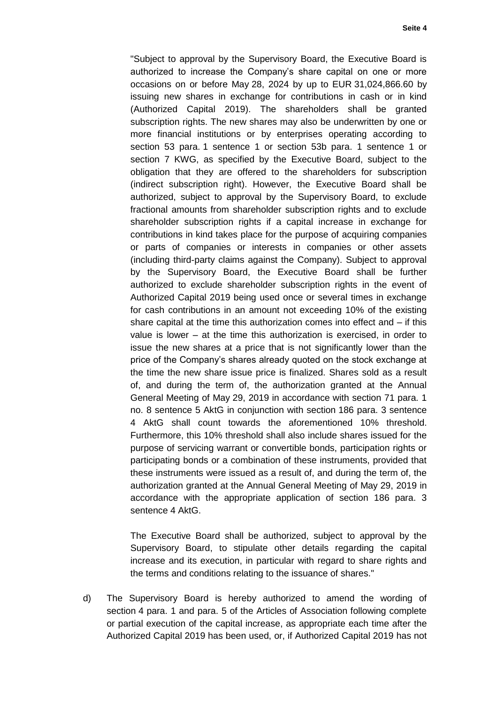"Subject to approval by the Supervisory Board, the Executive Board is authorized to increase the Company's share capital on one or more occasions on or before May 28, 2024 by up to EUR 31,024,866.60 by issuing new shares in exchange for contributions in cash or in kind (Authorized Capital 2019). The shareholders shall be granted subscription rights. The new shares may also be underwritten by one or more financial institutions or by enterprises operating according to section 53 para. 1 sentence 1 or section 53b para. 1 sentence 1 or section 7 KWG, as specified by the Executive Board, subject to the obligation that they are offered to the shareholders for subscription (indirect subscription right). However, the Executive Board shall be authorized, subject to approval by the Supervisory Board, to exclude fractional amounts from shareholder subscription rights and to exclude shareholder subscription rights if a capital increase in exchange for contributions in kind takes place for the purpose of acquiring companies or parts of companies or interests in companies or other assets (including third-party claims against the Company). Subject to approval by the Supervisory Board, the Executive Board shall be further authorized to exclude shareholder subscription rights in the event of Authorized Capital 2019 being used once or several times in exchange for cash contributions in an amount not exceeding 10% of the existing share capital at the time this authorization comes into effect and – if this value is lower – at the time this authorization is exercised, in order to issue the new shares at a price that is not significantly lower than the price of the Company's shares already quoted on the stock exchange at the time the new share issue price is finalized. Shares sold as a result of, and during the term of, the authorization granted at the Annual General Meeting of May 29, 2019 in accordance with section 71 para. 1 no. 8 sentence 5 AktG in conjunction with section 186 para. 3 sentence 4 AktG shall count towards the aforementioned 10% threshold. Furthermore, this 10% threshold shall also include shares issued for the purpose of servicing warrant or convertible bonds, participation rights or participating bonds or a combination of these instruments, provided that these instruments were issued as a result of, and during the term of, the authorization granted at the Annual General Meeting of May 29, 2019 in accordance with the appropriate application of section 186 para. 3 sentence 4 AktG.

The Executive Board shall be authorized, subject to approval by the Supervisory Board, to stipulate other details regarding the capital increase and its execution, in particular with regard to share rights and the terms and conditions relating to the issuance of shares."

d) The Supervisory Board is hereby authorized to amend the wording of section 4 para. 1 and para. 5 of the Articles of Association following complete or partial execution of the capital increase, as appropriate each time after the Authorized Capital 2019 has been used, or, if Authorized Capital 2019 has not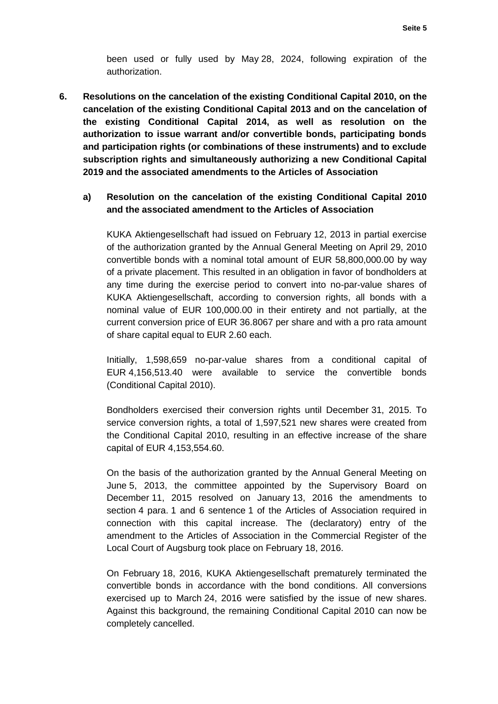been used or fully used by May 28, 2024, following expiration of the authorization.

**6. Resolutions on the cancelation of the existing Conditional Capital 2010, on the cancelation of the existing Conditional Capital 2013 and on the cancelation of the existing Conditional Capital 2014, as well as resolution on the authorization to issue warrant and/or convertible bonds, participating bonds and participation rights (or combinations of these instruments) and to exclude subscription rights and simultaneously authorizing a new Conditional Capital 2019 and the associated amendments to the Articles of Association**

## **a) Resolution on the cancelation of the existing Conditional Capital 2010 and the associated amendment to the Articles of Association**

KUKA Aktiengesellschaft had issued on February 12, 2013 in partial exercise of the authorization granted by the Annual General Meeting on April 29, 2010 convertible bonds with a nominal total amount of EUR 58,800,000.00 by way of a private placement. This resulted in an obligation in favor of bondholders at any time during the exercise period to convert into no-par-value shares of KUKA Aktiengesellschaft, according to conversion rights, all bonds with a nominal value of EUR 100,000.00 in their entirety and not partially, at the current conversion price of EUR 36.8067 per share and with a pro rata amount of share capital equal to EUR 2.60 each.

Initially, 1,598,659 no-par-value shares from a conditional capital of EUR 4,156,513.40 were available to service the convertible bonds (Conditional Capital 2010).

Bondholders exercised their conversion rights until December 31, 2015. To service conversion rights, a total of 1,597,521 new shares were created from the Conditional Capital 2010, resulting in an effective increase of the share capital of EUR 4,153,554.60.

On the basis of the authorization granted by the Annual General Meeting on June 5, 2013, the committee appointed by the Supervisory Board on December 11, 2015 resolved on January 13, 2016 the amendments to section 4 para. 1 and 6 sentence 1 of the Articles of Association required in connection with this capital increase. The (declaratory) entry of the amendment to the Articles of Association in the Commercial Register of the Local Court of Augsburg took place on February 18, 2016.

On February 18, 2016, KUKA Aktiengesellschaft prematurely terminated the convertible bonds in accordance with the bond conditions. All conversions exercised up to March 24, 2016 were satisfied by the issue of new shares. Against this background, the remaining Conditional Capital 2010 can now be completely cancelled.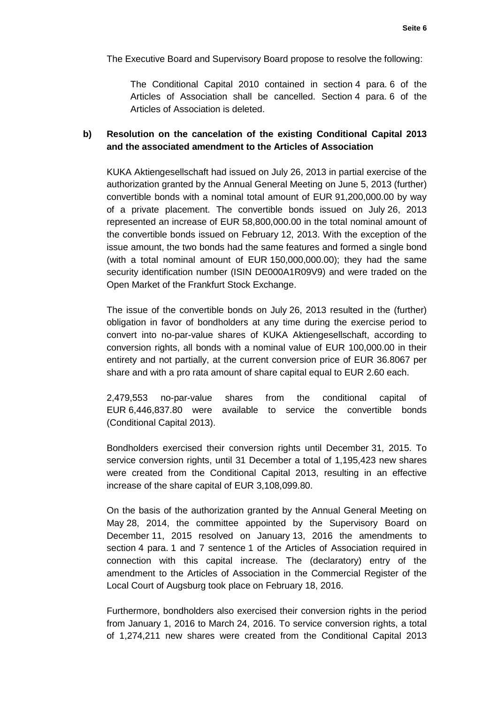The Executive Board and Supervisory Board propose to resolve the following:

The Conditional Capital 2010 contained in section 4 para. 6 of the Articles of Association shall be cancelled. Section 4 para. 6 of the Articles of Association is deleted.

## **b) Resolution on the cancelation of the existing Conditional Capital 2013 and the associated amendment to the Articles of Association**

KUKA Aktiengesellschaft had issued on July 26, 2013 in partial exercise of the authorization granted by the Annual General Meeting on June 5, 2013 (further) convertible bonds with a nominal total amount of EUR 91,200,000.00 by way of a private placement. The convertible bonds issued on July 26, 2013 represented an increase of EUR 58,800,000.00 in the total nominal amount of the convertible bonds issued on February 12, 2013. With the exception of the issue amount, the two bonds had the same features and formed a single bond (with a total nominal amount of EUR 150,000,000.00); they had the same security identification number (ISIN DE000A1R09V9) and were traded on the Open Market of the Frankfurt Stock Exchange.

The issue of the convertible bonds on July 26, 2013 resulted in the (further) obligation in favor of bondholders at any time during the exercise period to convert into no-par-value shares of KUKA Aktiengesellschaft, according to conversion rights, all bonds with a nominal value of EUR 100,000.00 in their entirety and not partially, at the current conversion price of EUR 36.8067 per share and with a pro rata amount of share capital equal to EUR 2.60 each.

2,479,553 no-par-value shares from the conditional capital of EUR 6,446,837.80 were available to service the convertible bonds (Conditional Capital 2013).

Bondholders exercised their conversion rights until December 31, 2015. To service conversion rights, until 31 December a total of 1,195,423 new shares were created from the Conditional Capital 2013, resulting in an effective increase of the share capital of EUR 3,108,099.80.

On the basis of the authorization granted by the Annual General Meeting on May 28, 2014, the committee appointed by the Supervisory Board on December 11, 2015 resolved on January 13, 2016 the amendments to section 4 para. 1 and 7 sentence 1 of the Articles of Association required in connection with this capital increase. The (declaratory) entry of the amendment to the Articles of Association in the Commercial Register of the Local Court of Augsburg took place on February 18, 2016.

Furthermore, bondholders also exercised their conversion rights in the period from January 1, 2016 to March 24, 2016. To service conversion rights, a total of 1,274,211 new shares were created from the Conditional Capital 2013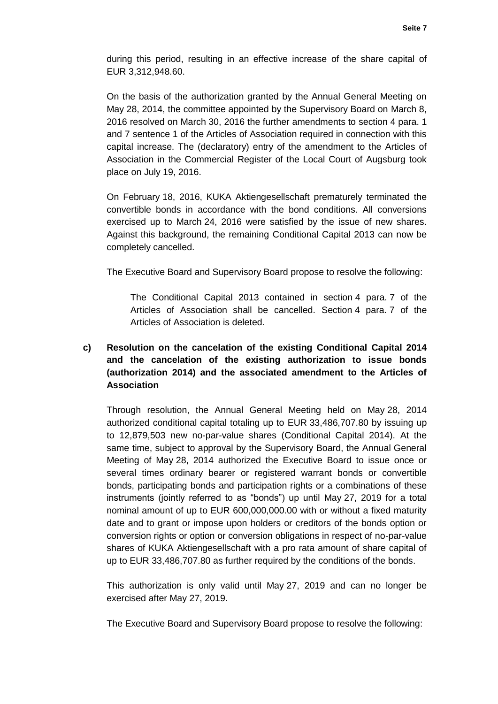during this period, resulting in an effective increase of the share capital of EUR 3,312,948.60.

On the basis of the authorization granted by the Annual General Meeting on May 28, 2014, the committee appointed by the Supervisory Board on March 8, 2016 resolved on March 30, 2016 the further amendments to section 4 para. 1 and 7 sentence 1 of the Articles of Association required in connection with this capital increase. The (declaratory) entry of the amendment to the Articles of Association in the Commercial Register of the Local Court of Augsburg took place on July 19, 2016.

On February 18, 2016, KUKA Aktiengesellschaft prematurely terminated the convertible bonds in accordance with the bond conditions. All conversions exercised up to March 24, 2016 were satisfied by the issue of new shares. Against this background, the remaining Conditional Capital 2013 can now be completely cancelled.

The Executive Board and Supervisory Board propose to resolve the following:

The Conditional Capital 2013 contained in section 4 para. 7 of the Articles of Association shall be cancelled. Section 4 para. 7 of the Articles of Association is deleted.

# **c) Resolution on the cancelation of the existing Conditional Capital 2014 and the cancelation of the existing authorization to issue bonds (authorization 2014) and the associated amendment to the Articles of Association**

Through resolution, the Annual General Meeting held on May 28, 2014 authorized conditional capital totaling up to EUR 33,486,707.80 by issuing up to 12,879,503 new no-par-value shares (Conditional Capital 2014). At the same time, subject to approval by the Supervisory Board, the Annual General Meeting of May 28, 2014 authorized the Executive Board to issue once or several times ordinary bearer or registered warrant bonds or convertible bonds, participating bonds and participation rights or a combinations of these instruments (jointly referred to as "bonds") up until May 27, 2019 for a total nominal amount of up to EUR 600,000,000.00 with or without a fixed maturity date and to grant or impose upon holders or creditors of the bonds option or conversion rights or option or conversion obligations in respect of no-par-value shares of KUKA Aktiengesellschaft with a pro rata amount of share capital of up to EUR 33,486,707.80 as further required by the conditions of the bonds.

This authorization is only valid until May 27, 2019 and can no longer be exercised after May 27, 2019.

The Executive Board and Supervisory Board propose to resolve the following: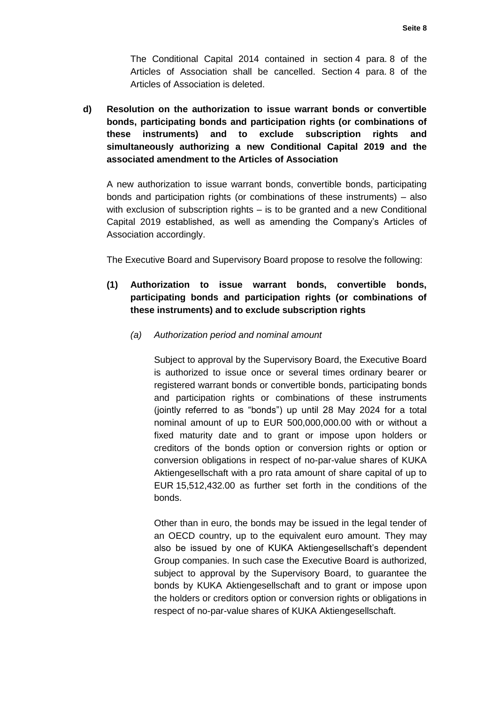The Conditional Capital 2014 contained in section 4 para. 8 of the Articles of Association shall be cancelled. Section 4 para. 8 of the Articles of Association is deleted.

**d) Resolution on the authorization to issue warrant bonds or convertible bonds, participating bonds and participation rights (or combinations of these instruments) and to exclude subscription rights and simultaneously authorizing a new Conditional Capital 2019 and the associated amendment to the Articles of Association**

A new authorization to issue warrant bonds, convertible bonds, participating bonds and participation rights (or combinations of these instruments) – also with exclusion of subscription rights – is to be granted and a new Conditional Capital 2019 established, as well as amending the Company's Articles of Association accordingly.

The Executive Board and Supervisory Board propose to resolve the following:

- **(1) Authorization to issue warrant bonds, convertible bonds, participating bonds and participation rights (or combinations of these instruments) and to exclude subscription rights**
	- *(a) Authorization period and nominal amount*

Subject to approval by the Supervisory Board, the Executive Board is authorized to issue once or several times ordinary bearer or registered warrant bonds or convertible bonds, participating bonds and participation rights or combinations of these instruments (jointly referred to as "bonds") up until 28 May 2024 for a total nominal amount of up to EUR 500,000,000.00 with or without a fixed maturity date and to grant or impose upon holders or creditors of the bonds option or conversion rights or option or conversion obligations in respect of no-par-value shares of KUKA Aktiengesellschaft with a pro rata amount of share capital of up to EUR 15,512,432.00 as further set forth in the conditions of the bonds.

Other than in euro, the bonds may be issued in the legal tender of an OECD country, up to the equivalent euro amount. They may also be issued by one of KUKA Aktiengesellschaft's dependent Group companies. In such case the Executive Board is authorized, subject to approval by the Supervisory Board, to guarantee the bonds by KUKA Aktiengesellschaft and to grant or impose upon the holders or creditors option or conversion rights or obligations in respect of no-par-value shares of KUKA Aktiengesellschaft.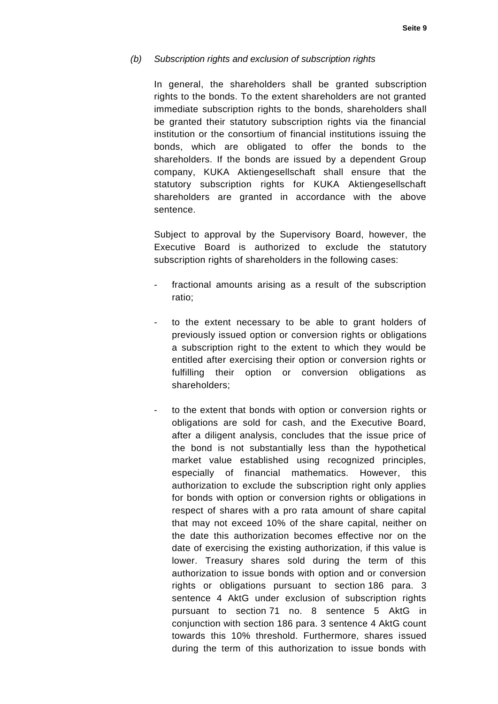#### *(b) Subscription rights and exclusion of subscription rights*

In general, the shareholders shall be granted subscription rights to the bonds. To the extent shareholders are not granted immediate subscription rights to the bonds, shareholders shall be granted their statutory subscription rights via the financial institution or the consortium of financial institutions issuing the bonds, which are obligated to offer the bonds to the shareholders. If the bonds are issued by a dependent Group company, KUKA Aktiengesellschaft shall ensure that the statutory subscription rights for KUKA Aktiengesellschaft shareholders are granted in accordance with the above sentence.

Subject to approval by the Supervisory Board, however, the Executive Board is authorized to exclude the statutory subscription rights of shareholders in the following cases:

- fractional amounts arising as a result of the subscription ratio;
- to the extent necessary to be able to grant holders of previously issued option or conversion rights or obligations a subscription right to the extent to which they would be entitled after exercising their option or conversion rights or fulfilling their option or conversion obligations as shareholders;
- to the extent that bonds with option or conversion rights or obligations are sold for cash, and the Executive Board, after a diligent analysis, concludes that the issue price of the bond is not substantially less than the hypothetical market value established using recognized principles, especially of financial mathematics. However, this authorization to exclude the subscription right only applies for bonds with option or conversion rights or obligations in respect of shares with a pro rata amount of share capital that may not exceed 10% of the share capital, neither on the date this authorization becomes effective nor on the date of exercising the existing authorization, if this value is lower. Treasury shares sold during the term of this authorization to issue bonds with option and or conversion rights or obligations pursuant to section 186 para. 3 sentence 4 AktG under exclusion of subscription rights pursuant to section 71 no. 8 sentence 5 AktG in conjunction with section 186 para. 3 sentence 4 AktG count towards this 10% threshold. Furthermore, shares issued during the term of this authorization to issue bonds with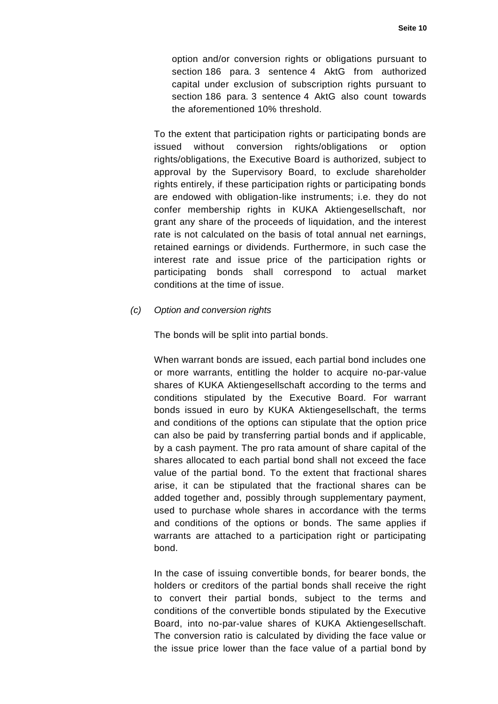option and/or conversion rights or obligations pursuant to section 186 para. 3 sentence 4 AktG from authorized capital under exclusion of subscription rights pursuant to section 186 para. 3 sentence 4 AktG also count towards the aforementioned 10% threshold.

To the extent that participation rights or participating bonds are issued without conversion rights/obligations or option rights/obligations, the Executive Board is authorized, subject to approval by the Supervisory Board, to exclude shareholder rights entirely, if these participation rights or participating bonds are endowed with obligation-like instruments; i.e. they do not confer membership rights in KUKA Aktiengesellschaft, nor grant any share of the proceeds of liquidation, and the interest rate is not calculated on the basis of total annual net earnings, retained earnings or dividends. Furthermore, in such case the interest rate and issue price of the participation rights or participating bonds shall correspond to actual market conditions at the time of issue.

#### *(c) Option and conversion rights*

The bonds will be split into partial bonds.

When warrant bonds are issued, each partial bond includes one or more warrants, entitling the holder to acquire no-par-value shares of KUKA Aktiengesellschaft according to the terms and conditions stipulated by the Executive Board. For warrant bonds issued in euro by KUKA Aktiengesellschaft, the terms and conditions of the options can stipulate that the option price can also be paid by transferring partial bonds and if applicable, by a cash payment. The pro rata amount of share capital of the shares allocated to each partial bond shall not exceed the face value of the partial bond. To the extent that fractional shares arise, it can be stipulated that the fractional shares can be added together and, possibly through supplementary payment, used to purchase whole shares in accordance with the terms and conditions of the options or bonds. The same applies if warrants are attached to a participation right or participating bond.

In the case of issuing convertible bonds, for bearer bonds, the holders or creditors of the partial bonds shall receive the right to convert their partial bonds, subject to the terms and conditions of the convertible bonds stipulated by the Executive Board, into no-par-value shares of KUKA Aktiengesellschaft. The conversion ratio is calculated by dividing the face value or the issue price lower than the face value of a partial bond by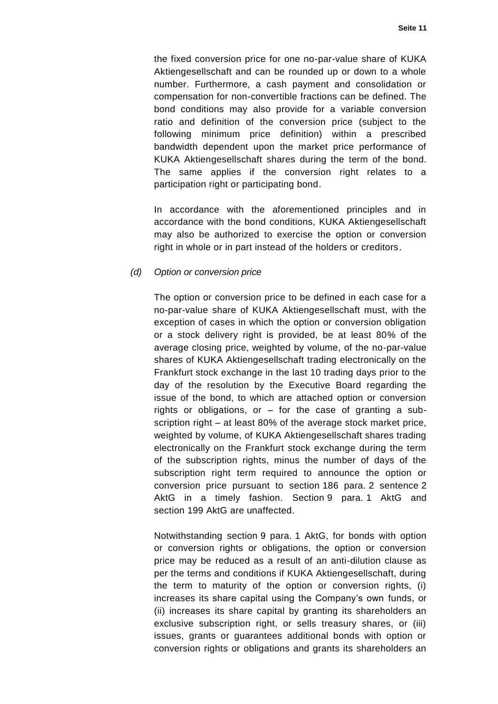the fixed conversion price for one no-par-value share of KUKA Aktiengesellschaft and can be rounded up or down to a whole number. Furthermore, a cash payment and consolidation or compensation for non-convertible fractions can be defined. The bond conditions may also provide for a variable conversion ratio and definition of the conversion price (subject to the following minimum price definition) within a prescribed bandwidth dependent upon the market price performance of KUKA Aktiengesellschaft shares during the term of the bond. The same applies if the conversion right relates to a participation right or participating bond.

In accordance with the aforementioned principles and in accordance with the bond conditions, KUKA Aktiengesellschaft may also be authorized to exercise the option or conversion right in whole or in part instead of the holders or creditors.

#### *(d) Option or conversion price*

The option or conversion price to be defined in each case for a no-par-value share of KUKA Aktiengesellschaft must, with the exception of cases in which the option or conversion obligation or a stock delivery right is provided, be at least 80% of the average closing price, weighted by volume, of the no-par-value shares of KUKA Aktiengesellschaft trading electronically on the Frankfurt stock exchange in the last 10 trading days prior to the day of the resolution by the Executive Board regarding the issue of the bond, to which are attached option or conversion rights or obligations, or – for the case of granting a subscription right – at least 80% of the average stock market price, weighted by volume, of KUKA Aktiengesellschaft shares trading electronically on the Frankfurt stock exchange during the term of the subscription rights, minus the number of days of the subscription right term required to announce the option or conversion price pursuant to section 186 para. 2 sentence 2 AktG in a timely fashion. Section 9 para. 1 AktG and section 199 AktG are unaffected.

Notwithstanding section 9 para. 1 AktG, for bonds with option or conversion rights or obligations, the option or conversion price may be reduced as a result of an anti-dilution clause as per the terms and conditions if KUKA Aktiengesellschaft, during the term to maturity of the option or conversion rights, (i) increases its share capital using the Company's own funds, or (ii) increases its share capital by granting its shareholders an exclusive subscription right, or sells treasury shares, or (iii) issues, grants or guarantees additional bonds with option or conversion rights or obligations and grants its shareholders an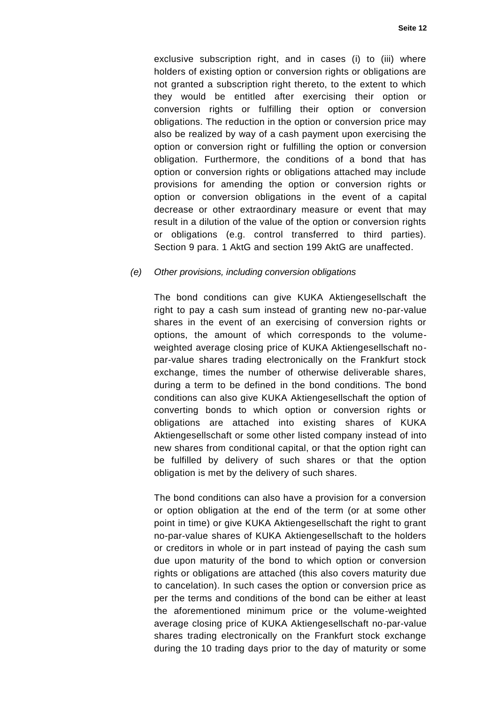exclusive subscription right, and in cases (i) to (iii) where holders of existing option or conversion rights or obligations are not granted a subscription right thereto, to the extent to which they would be entitled after exercising their option or conversion rights or fulfilling their option or conversion obligations. The reduction in the option or conversion price may also be realized by way of a cash payment upon exercising the option or conversion right or fulfilling the option or conversion obligation. Furthermore, the conditions of a bond that has option or conversion rights or obligations attached may include provisions for amending the option or conversion rights or option or conversion obligations in the event of a capital decrease or other extraordinary measure or event that may result in a dilution of the value of the option or conversion rights or obligations (e.g. control transferred to third parties). Section 9 para. 1 AktG and section 199 AktG are unaffected.

#### *(e) Other provisions, including conversion obligations*

The bond conditions can give KUKA Aktiengesellschaft the right to pay a cash sum instead of granting new no-par-value shares in the event of an exercising of conversion rights or options, the amount of which corresponds to the volumeweighted average closing price of KUKA Aktiengesellschaft nopar-value shares trading electronically on the Frankfurt stock exchange, times the number of otherwise deliverable shares, during a term to be defined in the bond conditions. The bond conditions can also give KUKA Aktiengesellschaft the option of converting bonds to which option or conversion rights or obligations are attached into existing shares of KUKA Aktiengesellschaft or some other listed company instead of into new shares from conditional capital, or that the option right can be fulfilled by delivery of such shares or that the option obligation is met by the delivery of such shares.

The bond conditions can also have a provision for a conversion or option obligation at the end of the term (or at some other point in time) or give KUKA Aktiengesellschaft the right to grant no-par-value shares of KUKA Aktiengesellschaft to the holders or creditors in whole or in part instead of paying the cash sum due upon maturity of the bond to which option or conversion rights or obligations are attached (this also covers maturity due to cancelation). In such cases the option or conversion price as per the terms and conditions of the bond can be either at least the aforementioned minimum price or the volume-weighted average closing price of KUKA Aktiengesellschaft no-par-value shares trading electronically on the Frankfurt stock exchange during the 10 trading days prior to the day of maturity or some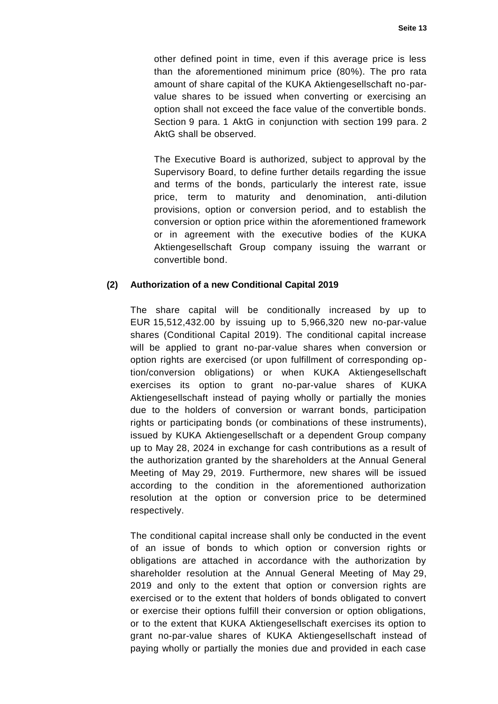other defined point in time, even if this average price is less than the aforementioned minimum price (80%). The pro rata amount of share capital of the KUKA Aktiengesellschaft no-parvalue shares to be issued when converting or exercising an option shall not exceed the face value of the convertible bonds. Section 9 para. 1 AktG in conjunction with section 199 para. 2 AktG shall be observed.

The Executive Board is authorized, subject to approval by the Supervisory Board, to define further details regarding the issue and terms of the bonds, particularly the interest rate, issue price, term to maturity and denomination, anti-dilution provisions, option or conversion period, and to establish the conversion or option price within the aforementioned framework or in agreement with the executive bodies of the KUKA Aktiengesellschaft Group company issuing the warrant or convertible bond.

## **(2) Authorization of a new Conditional Capital 2019**

The share capital will be conditionally increased by up to EUR 15,512,432.00 by issuing up to 5,966,320 new no-par-value shares (Conditional Capital 2019). The conditional capital increase will be applied to grant no-par-value shares when conversion or option rights are exercised (or upon fulfillment of corresponding option/conversion obligations) or when KUKA Aktiengesellschaft exercises its option to grant no-par-value shares of KUKA Aktiengesellschaft instead of paying wholly or partially the monies due to the holders of conversion or warrant bonds, participation rights or participating bonds (or combinations of these instruments), issued by KUKA Aktiengesellschaft or a dependent Group company up to May 28, 2024 in exchange for cash contributions as a result of the authorization granted by the shareholders at the Annual General Meeting of May 29, 2019. Furthermore, new shares will be issued according to the condition in the aforementioned authorization resolution at the option or conversion price to be determined respectively.

The conditional capital increase shall only be conducted in the event of an issue of bonds to which option or conversion rights or obligations are attached in accordance with the authorization by shareholder resolution at the Annual General Meeting of May 29, 2019 and only to the extent that option or conversion rights are exercised or to the extent that holders of bonds obligated to convert or exercise their options fulfill their conversion or option obligations, or to the extent that KUKA Aktiengesellschaft exercises its option to grant no-par-value shares of KUKA Aktiengesellschaft instead of paying wholly or partially the monies due and provided in each case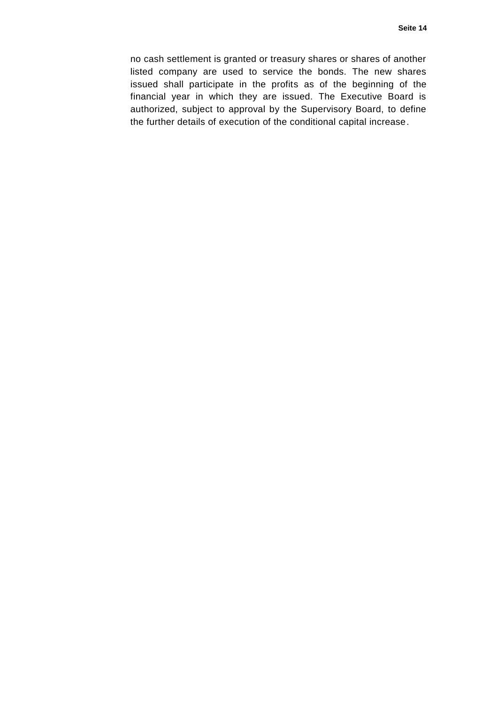no cash settlement is granted or treasury shares or shares of another listed company are used to service the bonds. The new shares issued shall participate in the profits as of the beginning of the financial year in which they are issued. The Executive Board is authorized, subject to approval by the Supervisory Board, to define the further details of execution of the conditional capital increase.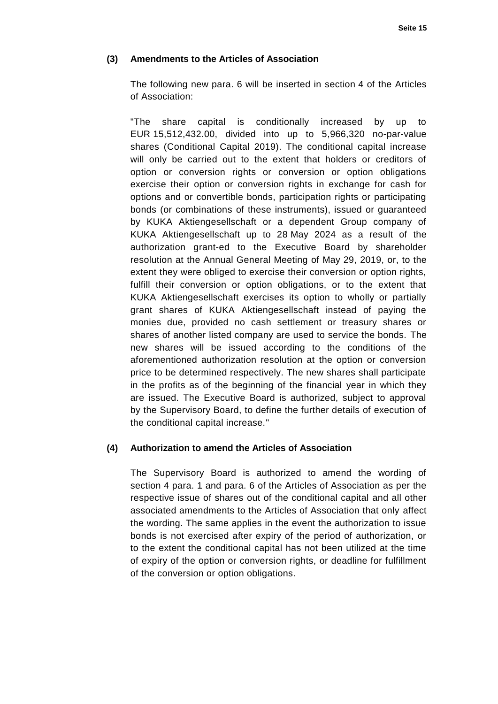## **(3) Amendments to the Articles of Association**

The following new para. 6 will be inserted in section 4 of the Articles of Association:

"The share capital is conditionally increased by up to EUR 15,512,432.00, divided into up to 5,966,320 no-par-value shares (Conditional Capital 2019). The conditional capital increase will only be carried out to the extent that holders or creditors of option or conversion rights or conversion or option obligations exercise their option or conversion rights in exchange for cash for options and or convertible bonds, participation rights or participating bonds (or combinations of these instruments), issued or guaranteed by KUKA Aktiengesellschaft or a dependent Group company of KUKA Aktiengesellschaft up to 28 May 2024 as a result of the authorization grant-ed to the Executive Board by shareholder resolution at the Annual General Meeting of May 29, 2019, or, to the extent they were obliged to exercise their conversion or option rights, fulfill their conversion or option obligations, or to the extent that KUKA Aktiengesellschaft exercises its option to wholly or partially grant shares of KUKA Aktiengesellschaft instead of paying the monies due, provided no cash settlement or treasury shares or shares of another listed company are used to service the bonds. The new shares will be issued according to the conditions of the aforementioned authorization resolution at the option or conversion price to be determined respectively. The new shares shall participate in the profits as of the beginning of the financial year in which they are issued. The Executive Board is authorized, subject to approval by the Supervisory Board, to define the further details of execution of the conditional capital increase."

### **(4) Authorization to amend the Articles of Association**

The Supervisory Board is authorized to amend the wording of section 4 para. 1 and para. 6 of the Articles of Association as per the respective issue of shares out of the conditional capital and all other associated amendments to the Articles of Association that only affect the wording. The same applies in the event the authorization to issue bonds is not exercised after expiry of the period of authorization, or to the extent the conditional capital has not been utilized at the time of expiry of the option or conversion rights, or deadline for fulfillment of the conversion or option obligations.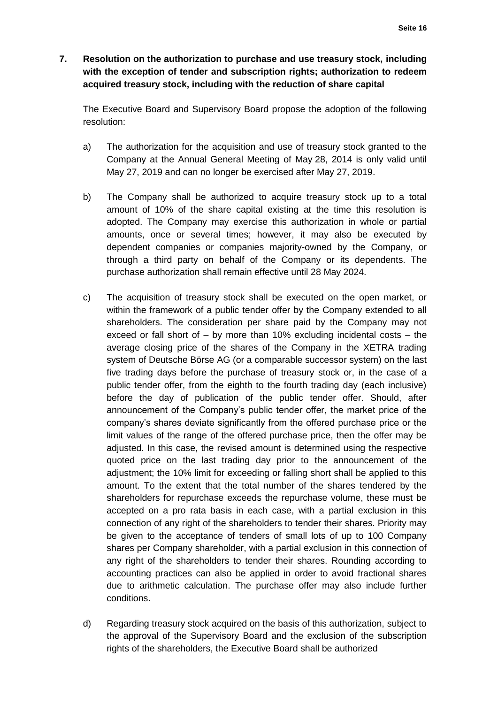**7. Resolution on the authorization to purchase and use treasury stock, including with the exception of tender and subscription rights; authorization to redeem acquired treasury stock, including with the reduction of share capital**

The Executive Board and Supervisory Board propose the adoption of the following resolution:

- a) The authorization for the acquisition and use of treasury stock granted to the Company at the Annual General Meeting of May 28, 2014 is only valid until May 27, 2019 and can no longer be exercised after May 27, 2019.
- b) The Company shall be authorized to acquire treasury stock up to a total amount of 10% of the share capital existing at the time this resolution is adopted. The Company may exercise this authorization in whole or partial amounts, once or several times; however, it may also be executed by dependent companies or companies majority-owned by the Company, or through a third party on behalf of the Company or its dependents. The purchase authorization shall remain effective until 28 May 2024.
- c) The acquisition of treasury stock shall be executed on the open market, or within the framework of a public tender offer by the Company extended to all shareholders. The consideration per share paid by the Company may not exceed or fall short of – by more than 10% excluding incidental costs – the average closing price of the shares of the Company in the XETRA trading system of Deutsche Börse AG (or a comparable successor system) on the last five trading days before the purchase of treasury stock or, in the case of a public tender offer, from the eighth to the fourth trading day (each inclusive) before the day of publication of the public tender offer. Should, after announcement of the Company's public tender offer, the market price of the company's shares deviate significantly from the offered purchase price or the limit values of the range of the offered purchase price, then the offer may be adjusted. In this case, the revised amount is determined using the respective quoted price on the last trading day prior to the announcement of the adjustment; the 10% limit for exceeding or falling short shall be applied to this amount. To the extent that the total number of the shares tendered by the shareholders for repurchase exceeds the repurchase volume, these must be accepted on a pro rata basis in each case, with a partial exclusion in this connection of any right of the shareholders to tender their shares. Priority may be given to the acceptance of tenders of small lots of up to 100 Company shares per Company shareholder, with a partial exclusion in this connection of any right of the shareholders to tender their shares. Rounding according to accounting practices can also be applied in order to avoid fractional shares due to arithmetic calculation. The purchase offer may also include further conditions.
- d) Regarding treasury stock acquired on the basis of this authorization, subject to the approval of the Supervisory Board and the exclusion of the subscription rights of the shareholders, the Executive Board shall be authorized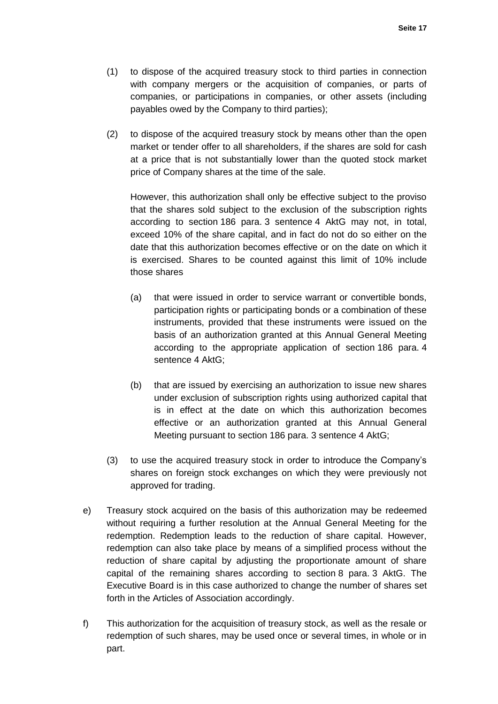- (1) to dispose of the acquired treasury stock to third parties in connection with company mergers or the acquisition of companies, or parts of companies, or participations in companies, or other assets (including payables owed by the Company to third parties);
- (2) to dispose of the acquired treasury stock by means other than the open market or tender offer to all shareholders, if the shares are sold for cash at a price that is not substantially lower than the quoted stock market price of Company shares at the time of the sale.

However, this authorization shall only be effective subject to the proviso that the shares sold subject to the exclusion of the subscription rights according to section 186 para. 3 sentence 4 AktG may not, in total, exceed 10% of the share capital, and in fact do not do so either on the date that this authorization becomes effective or on the date on which it is exercised. Shares to be counted against this limit of 10% include those shares

- (a) that were issued in order to service warrant or convertible bonds, participation rights or participating bonds or a combination of these instruments, provided that these instruments were issued on the basis of an authorization granted at this Annual General Meeting according to the appropriate application of section 186 para. 4 sentence 4 AktG;
- (b) that are issued by exercising an authorization to issue new shares under exclusion of subscription rights using authorized capital that is in effect at the date on which this authorization becomes effective or an authorization granted at this Annual General Meeting pursuant to section 186 para. 3 sentence 4 AktG;
- (3) to use the acquired treasury stock in order to introduce the Company's shares on foreign stock exchanges on which they were previously not approved for trading.
- e) Treasury stock acquired on the basis of this authorization may be redeemed without requiring a further resolution at the Annual General Meeting for the redemption. Redemption leads to the reduction of share capital. However, redemption can also take place by means of a simplified process without the reduction of share capital by adjusting the proportionate amount of share capital of the remaining shares according to section 8 para. 3 AktG. The Executive Board is in this case authorized to change the number of shares set forth in the Articles of Association accordingly.
- f) This authorization for the acquisition of treasury stock, as well as the resale or redemption of such shares, may be used once or several times, in whole or in part.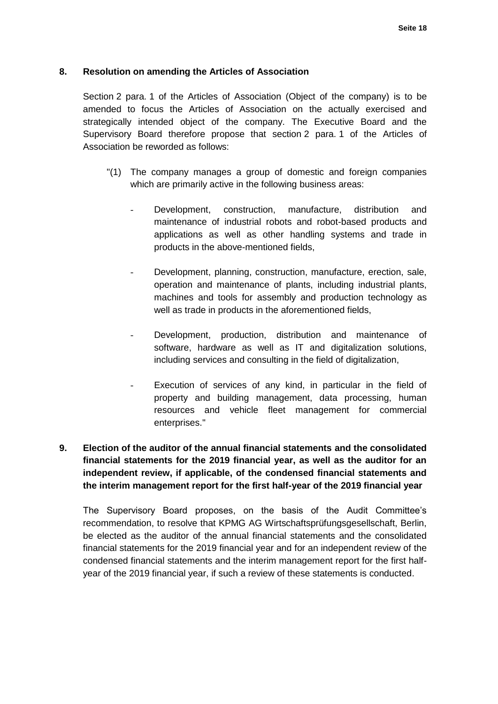## **8. Resolution on amending the Articles of Association**

Section 2 para. 1 of the Articles of Association (Object of the company) is to be amended to focus the Articles of Association on the actually exercised and strategically intended object of the company. The Executive Board and the Supervisory Board therefore propose that section 2 para. 1 of the Articles of Association be reworded as follows:

- "(1) The company manages a group of domestic and foreign companies which are primarily active in the following business areas:
	- Development, construction, manufacture, distribution and maintenance of industrial robots and robot-based products and applications as well as other handling systems and trade in products in the above-mentioned fields,
	- Development, planning, construction, manufacture, erection, sale, operation and maintenance of plants, including industrial plants, machines and tools for assembly and production technology as well as trade in products in the aforementioned fields,
	- Development, production, distribution and maintenance of software, hardware as well as IT and digitalization solutions, including services and consulting in the field of digitalization,
	- Execution of services of any kind, in particular in the field of property and building management, data processing, human resources and vehicle fleet management for commercial enterprises."

# **9. Election of the auditor of the annual financial statements and the consolidated financial statements for the 2019 financial year, as well as the auditor for an independent review, if applicable, of the condensed financial statements and the interim management report for the first half-year of the 2019 financial year**

The Supervisory Board proposes, on the basis of the Audit Committee's recommendation, to resolve that KPMG AG Wirtschaftsprüfungsgesellschaft, Berlin, be elected as the auditor of the annual financial statements and the consolidated financial statements for the 2019 financial year and for an independent review of the condensed financial statements and the interim management report for the first halfyear of the 2019 financial year, if such a review of these statements is conducted.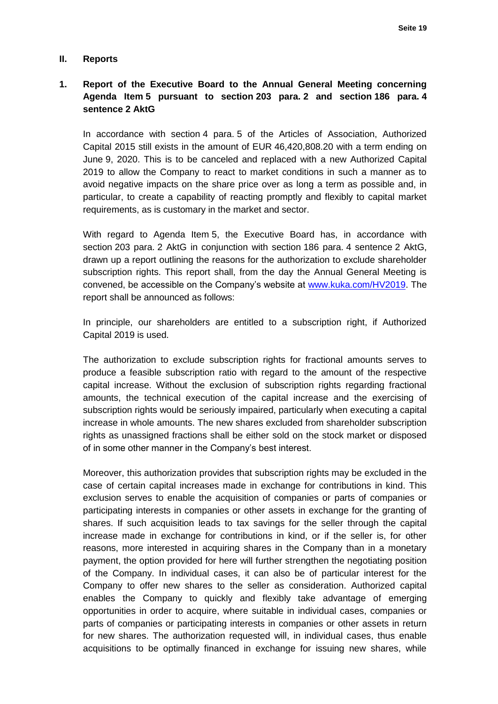#### **II. Reports**

## **1. Report of the Executive Board to the Annual General Meeting concerning Agenda Item 5 pursuant to section 203 para. 2 and section 186 para. 4 sentence 2 AktG**

In accordance with section 4 para. 5 of the Articles of Association, Authorized Capital 2015 still exists in the amount of EUR 46,420,808.20 with a term ending on June 9, 2020. This is to be canceled and replaced with a new Authorized Capital 2019 to allow the Company to react to market conditions in such a manner as to avoid negative impacts on the share price over as long a term as possible and, in particular, to create a capability of reacting promptly and flexibly to capital market requirements, as is customary in the market and sector.

With regard to Agenda Item 5, the Executive Board has, in accordance with section 203 para. 2 AktG in conjunction with section 186 para. 4 sentence 2 AktG, drawn up a report outlining the reasons for the authorization to exclude shareholder subscription rights. This report shall, from the day the Annual General Meeting is convened, be accessible on the Company's website at [www.kuka.com/HV2019.](http://www.kuka.com/HV2019) The report shall be announced as follows:

In principle, our shareholders are entitled to a subscription right, if Authorized Capital 2019 is used.

The authorization to exclude subscription rights for fractional amounts serves to produce a feasible subscription ratio with regard to the amount of the respective capital increase. Without the exclusion of subscription rights regarding fractional amounts, the technical execution of the capital increase and the exercising of subscription rights would be seriously impaired, particularly when executing a capital increase in whole amounts. The new shares excluded from shareholder subscription rights as unassigned fractions shall be either sold on the stock market or disposed of in some other manner in the Company's best interest.

Moreover, this authorization provides that subscription rights may be excluded in the case of certain capital increases made in exchange for contributions in kind. This exclusion serves to enable the acquisition of companies or parts of companies or participating interests in companies or other assets in exchange for the granting of shares. If such acquisition leads to tax savings for the seller through the capital increase made in exchange for contributions in kind, or if the seller is, for other reasons, more interested in acquiring shares in the Company than in a monetary payment, the option provided for here will further strengthen the negotiating position of the Company. In individual cases, it can also be of particular interest for the Company to offer new shares to the seller as consideration. Authorized capital enables the Company to quickly and flexibly take advantage of emerging opportunities in order to acquire, where suitable in individual cases, companies or parts of companies or participating interests in companies or other assets in return for new shares. The authorization requested will, in individual cases, thus enable acquisitions to be optimally financed in exchange for issuing new shares, while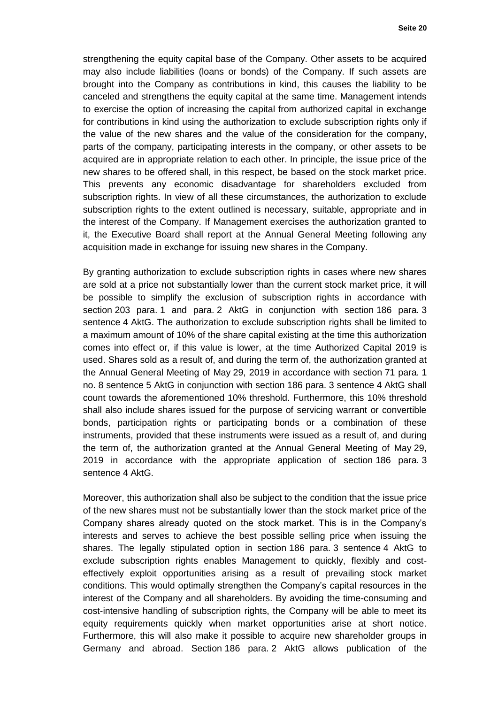strengthening the equity capital base of the Company. Other assets to be acquired may also include liabilities (loans or bonds) of the Company. If such assets are brought into the Company as contributions in kind, this causes the liability to be canceled and strengthens the equity capital at the same time. Management intends to exercise the option of increasing the capital from authorized capital in exchange for contributions in kind using the authorization to exclude subscription rights only if the value of the new shares and the value of the consideration for the company, parts of the company, participating interests in the company, or other assets to be acquired are in appropriate relation to each other. In principle, the issue price of the new shares to be offered shall, in this respect, be based on the stock market price. This prevents any economic disadvantage for shareholders excluded from subscription rights. In view of all these circumstances, the authorization to exclude subscription rights to the extent outlined is necessary, suitable, appropriate and in the interest of the Company. If Management exercises the authorization granted to it, the Executive Board shall report at the Annual General Meeting following any acquisition made in exchange for issuing new shares in the Company.

By granting authorization to exclude subscription rights in cases where new shares are sold at a price not substantially lower than the current stock market price, it will be possible to simplify the exclusion of subscription rights in accordance with section 203 para. 1 and para. 2 AktG in conjunction with section 186 para. 3 sentence 4 AktG. The authorization to exclude subscription rights shall be limited to a maximum amount of 10% of the share capital existing at the time this authorization comes into effect or, if this value is lower, at the time Authorized Capital 2019 is used. Shares sold as a result of, and during the term of, the authorization granted at the Annual General Meeting of May 29, 2019 in accordance with section 71 para. 1 no. 8 sentence 5 AktG in conjunction with section 186 para. 3 sentence 4 AktG shall count towards the aforementioned 10% threshold. Furthermore, this 10% threshold shall also include shares issued for the purpose of servicing warrant or convertible bonds, participation rights or participating bonds or a combination of these instruments, provided that these instruments were issued as a result of, and during the term of, the authorization granted at the Annual General Meeting of May 29, 2019 in accordance with the appropriate application of section 186 para. 3 sentence 4 AktG.

Moreover, this authorization shall also be subject to the condition that the issue price of the new shares must not be substantially lower than the stock market price of the Company shares already quoted on the stock market. This is in the Company's interests and serves to achieve the best possible selling price when issuing the shares. The legally stipulated option in section 186 para. 3 sentence 4 AktG to exclude subscription rights enables Management to quickly, flexibly and costeffectively exploit opportunities arising as a result of prevailing stock market conditions. This would optimally strengthen the Company's capital resources in the interest of the Company and all shareholders. By avoiding the time-consuming and cost-intensive handling of subscription rights, the Company will be able to meet its equity requirements quickly when market opportunities arise at short notice. Furthermore, this will also make it possible to acquire new shareholder groups in Germany and abroad. Section 186 para. 2 AktG allows publication of the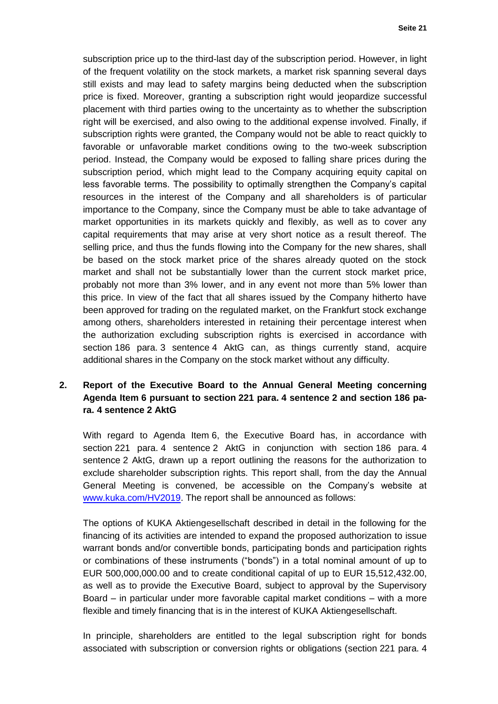subscription price up to the third-last day of the subscription period. However, in light of the frequent volatility on the stock markets, a market risk spanning several days still exists and may lead to safety margins being deducted when the subscription price is fixed. Moreover, granting a subscription right would jeopardize successful placement with third parties owing to the uncertainty as to whether the subscription right will be exercised, and also owing to the additional expense involved. Finally, if subscription rights were granted, the Company would not be able to react quickly to favorable or unfavorable market conditions owing to the two-week subscription period. Instead, the Company would be exposed to falling share prices during the subscription period, which might lead to the Company acquiring equity capital on less favorable terms. The possibility to optimally strengthen the Company's capital resources in the interest of the Company and all shareholders is of particular importance to the Company, since the Company must be able to take advantage of market opportunities in its markets quickly and flexibly, as well as to cover any capital requirements that may arise at very short notice as a result thereof. The selling price, and thus the funds flowing into the Company for the new shares, shall be based on the stock market price of the shares already quoted on the stock market and shall not be substantially lower than the current stock market price, probably not more than 3% lower, and in any event not more than 5% lower than this price. In view of the fact that all shares issued by the Company hitherto have been approved for trading on the regulated market, on the Frankfurt stock exchange among others, shareholders interested in retaining their percentage interest when the authorization excluding subscription rights is exercised in accordance with section 186 para. 3 sentence 4 AktG can, as things currently stand, acquire additional shares in the Company on the stock market without any difficulty.

## **2. Report of the Executive Board to the Annual General Meeting concerning Agenda Item 6 pursuant to section 221 para. 4 sentence 2 and section 186 para. 4 sentence 2 AktG**

With regard to Agenda Item 6, the Executive Board has, in accordance with section 221 para. 4 sentence 2 AktG in conjunction with section 186 para. 4 sentence 2 AktG, drawn up a report outlining the reasons for the authorization to exclude shareholder subscription rights. This report shall, from the day the Annual General Meeting is convened, be accessible on the Company's website at [www.kuka.com/HV2019.](http://www.kuka.com/HV2019) The report shall be announced as follows:

The options of KUKA Aktiengesellschaft described in detail in the following for the financing of its activities are intended to expand the proposed authorization to issue warrant bonds and/or convertible bonds, participating bonds and participation rights or combinations of these instruments ("bonds") in a total nominal amount of up to EUR 500,000,000.00 and to create conditional capital of up to EUR 15,512,432.00, as well as to provide the Executive Board, subject to approval by the Supervisory Board – in particular under more favorable capital market conditions – with a more flexible and timely financing that is in the interest of KUKA Aktiengesellschaft.

In principle, shareholders are entitled to the legal subscription right for bonds associated with subscription or conversion rights or obligations (section 221 para. 4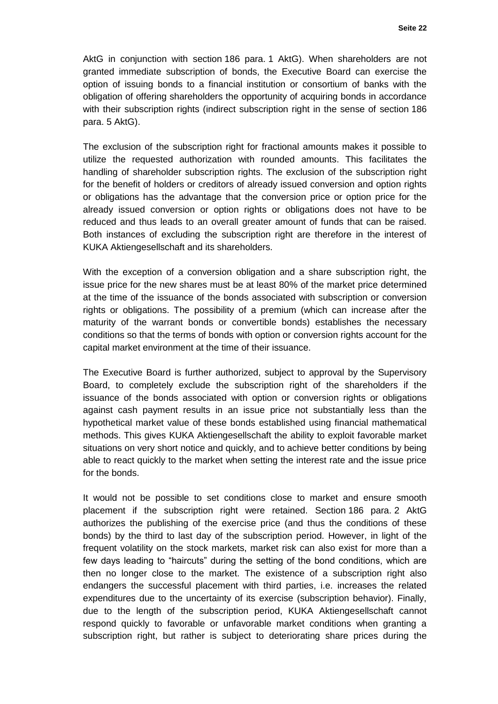AktG in conjunction with section 186 para. 1 AktG). When shareholders are not granted immediate subscription of bonds, the Executive Board can exercise the option of issuing bonds to a financial institution or consortium of banks with the obligation of offering shareholders the opportunity of acquiring bonds in accordance with their subscription rights (indirect subscription right in the sense of section 186 para. 5 AktG).

The exclusion of the subscription right for fractional amounts makes it possible to utilize the requested authorization with rounded amounts. This facilitates the handling of shareholder subscription rights. The exclusion of the subscription right for the benefit of holders or creditors of already issued conversion and option rights or obligations has the advantage that the conversion price or option price for the already issued conversion or option rights or obligations does not have to be reduced and thus leads to an overall greater amount of funds that can be raised. Both instances of excluding the subscription right are therefore in the interest of KUKA Aktiengesellschaft and its shareholders.

With the exception of a conversion obligation and a share subscription right, the issue price for the new shares must be at least 80% of the market price determined at the time of the issuance of the bonds associated with subscription or conversion rights or obligations. The possibility of a premium (which can increase after the maturity of the warrant bonds or convertible bonds) establishes the necessary conditions so that the terms of bonds with option or conversion rights account for the capital market environment at the time of their issuance.

The Executive Board is further authorized, subject to approval by the Supervisory Board, to completely exclude the subscription right of the shareholders if the issuance of the bonds associated with option or conversion rights or obligations against cash payment results in an issue price not substantially less than the hypothetical market value of these bonds established using financial mathematical methods. This gives KUKA Aktiengesellschaft the ability to exploit favorable market situations on very short notice and quickly, and to achieve better conditions by being able to react quickly to the market when setting the interest rate and the issue price for the bonds.

It would not be possible to set conditions close to market and ensure smooth placement if the subscription right were retained. Section 186 para. 2 AktG authorizes the publishing of the exercise price (and thus the conditions of these bonds) by the third to last day of the subscription period. However, in light of the frequent volatility on the stock markets, market risk can also exist for more than a few days leading to "haircuts" during the setting of the bond conditions, which are then no longer close to the market. The existence of a subscription right also endangers the successful placement with third parties, i.e. increases the related expenditures due to the uncertainty of its exercise (subscription behavior). Finally, due to the length of the subscription period, KUKA Aktiengesellschaft cannot respond quickly to favorable or unfavorable market conditions when granting a subscription right, but rather is subject to deteriorating share prices during the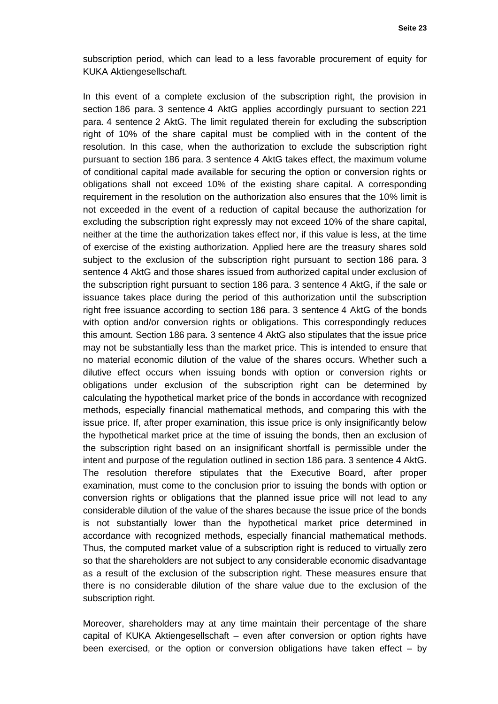subscription period, which can lead to a less favorable procurement of equity for KUKA Aktiengesellschaft.

In this event of a complete exclusion of the subscription right, the provision in section 186 para. 3 sentence 4 AktG applies accordingly pursuant to section 221 para. 4 sentence 2 AktG. The limit regulated therein for excluding the subscription right of 10% of the share capital must be complied with in the content of the resolution. In this case, when the authorization to exclude the subscription right pursuant to section 186 para. 3 sentence 4 AktG takes effect, the maximum volume of conditional capital made available for securing the option or conversion rights or obligations shall not exceed 10% of the existing share capital. A corresponding requirement in the resolution on the authorization also ensures that the 10% limit is not exceeded in the event of a reduction of capital because the authorization for excluding the subscription right expressly may not exceed 10% of the share capital, neither at the time the authorization takes effect nor, if this value is less, at the time of exercise of the existing authorization. Applied here are the treasury shares sold subject to the exclusion of the subscription right pursuant to section 186 para. 3 sentence 4 AktG and those shares issued from authorized capital under exclusion of the subscription right pursuant to section 186 para. 3 sentence 4 AktG, if the sale or issuance takes place during the period of this authorization until the subscription right free issuance according to section 186 para. 3 sentence 4 AktG of the bonds with option and/or conversion rights or obligations. This correspondingly reduces this amount. Section 186 para. 3 sentence 4 AktG also stipulates that the issue price may not be substantially less than the market price. This is intended to ensure that no material economic dilution of the value of the shares occurs. Whether such a dilutive effect occurs when issuing bonds with option or conversion rights or obligations under exclusion of the subscription right can be determined by calculating the hypothetical market price of the bonds in accordance with recognized methods, especially financial mathematical methods, and comparing this with the issue price. If, after proper examination, this issue price is only insignificantly below the hypothetical market price at the time of issuing the bonds, then an exclusion of the subscription right based on an insignificant shortfall is permissible under the intent and purpose of the regulation outlined in section 186 para. 3 sentence 4 AktG. The resolution therefore stipulates that the Executive Board, after proper examination, must come to the conclusion prior to issuing the bonds with option or conversion rights or obligations that the planned issue price will not lead to any considerable dilution of the value of the shares because the issue price of the bonds is not substantially lower than the hypothetical market price determined in accordance with recognized methods, especially financial mathematical methods. Thus, the computed market value of a subscription right is reduced to virtually zero so that the shareholders are not subject to any considerable economic disadvantage as a result of the exclusion of the subscription right. These measures ensure that there is no considerable dilution of the share value due to the exclusion of the subscription right.

Moreover, shareholders may at any time maintain their percentage of the share capital of KUKA Aktiengesellschaft – even after conversion or option rights have been exercised, or the option or conversion obligations have taken effect – by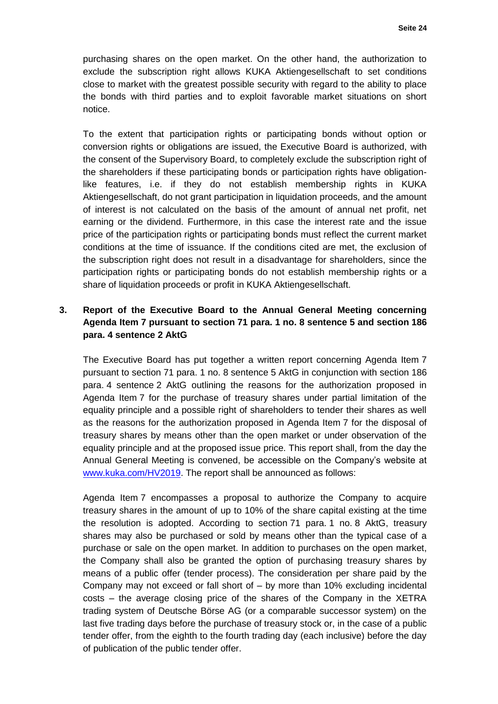purchasing shares on the open market. On the other hand, the authorization to exclude the subscription right allows KUKA Aktiengesellschaft to set conditions close to market with the greatest possible security with regard to the ability to place the bonds with third parties and to exploit favorable market situations on short notice.

To the extent that participation rights or participating bonds without option or conversion rights or obligations are issued, the Executive Board is authorized, with the consent of the Supervisory Board, to completely exclude the subscription right of the shareholders if these participating bonds or participation rights have obligationlike features, i.e. if they do not establish membership rights in KUKA Aktiengesellschaft, do not grant participation in liquidation proceeds, and the amount of interest is not calculated on the basis of the amount of annual net profit, net earning or the dividend. Furthermore, in this case the interest rate and the issue price of the participation rights or participating bonds must reflect the current market conditions at the time of issuance. If the conditions cited are met, the exclusion of the subscription right does not result in a disadvantage for shareholders, since the participation rights or participating bonds do not establish membership rights or a share of liquidation proceeds or profit in KUKA Aktiengesellschaft.

# **3. Report of the Executive Board to the Annual General Meeting concerning Agenda Item 7 pursuant to section 71 para. 1 no. 8 sentence 5 and section 186 para. 4 sentence 2 AktG**

The Executive Board has put together a written report concerning Agenda Item 7 pursuant to section 71 para. 1 no. 8 sentence 5 AktG in conjunction with section 186 para. 4 sentence 2 AktG outlining the reasons for the authorization proposed in Agenda Item 7 for the purchase of treasury shares under partial limitation of the equality principle and a possible right of shareholders to tender their shares as well as the reasons for the authorization proposed in Agenda Item 7 for the disposal of treasury shares by means other than the open market or under observation of the equality principle and at the proposed issue price. This report shall, from the day the Annual General Meeting is convened, be accessible on the Company's website at [www.kuka.com/HV2019.](http://www.kuka.com/HV2019) The report shall be announced as follows:

Agenda Item 7 encompasses a proposal to authorize the Company to acquire treasury shares in the amount of up to 10% of the share capital existing at the time the resolution is adopted. According to section 71 para. 1 no. 8 AktG, treasury shares may also be purchased or sold by means other than the typical case of a purchase or sale on the open market. In addition to purchases on the open market, the Company shall also be granted the option of purchasing treasury shares by means of a public offer (tender process). The consideration per share paid by the Company may not exceed or fall short of – by more than 10% excluding incidental costs – the average closing price of the shares of the Company in the XETRA trading system of Deutsche Börse AG (or a comparable successor system) on the last five trading days before the purchase of treasury stock or, in the case of a public tender offer, from the eighth to the fourth trading day (each inclusive) before the day of publication of the public tender offer.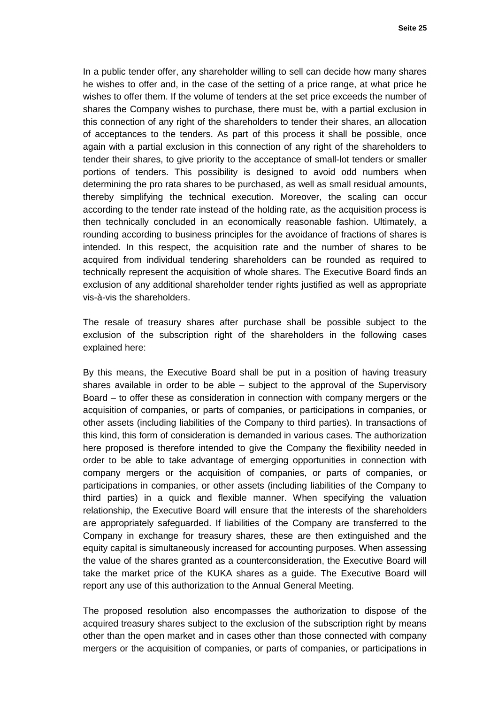In a public tender offer, any shareholder willing to sell can decide how many shares he wishes to offer and, in the case of the setting of a price range, at what price he wishes to offer them. If the volume of tenders at the set price exceeds the number of shares the Company wishes to purchase, there must be, with a partial exclusion in this connection of any right of the shareholders to tender their shares, an allocation of acceptances to the tenders. As part of this process it shall be possible, once again with a partial exclusion in this connection of any right of the shareholders to tender their shares, to give priority to the acceptance of small-lot tenders or smaller portions of tenders. This possibility is designed to avoid odd numbers when determining the pro rata shares to be purchased, as well as small residual amounts, thereby simplifying the technical execution. Moreover, the scaling can occur according to the tender rate instead of the holding rate, as the acquisition process is then technically concluded in an economically reasonable fashion. Ultimately, a rounding according to business principles for the avoidance of fractions of shares is intended. In this respect, the acquisition rate and the number of shares to be acquired from individual tendering shareholders can be rounded as required to technically represent the acquisition of whole shares. The Executive Board finds an exclusion of any additional shareholder tender rights justified as well as appropriate vis-à-vis the shareholders.

The resale of treasury shares after purchase shall be possible subject to the exclusion of the subscription right of the shareholders in the following cases explained here:

By this means, the Executive Board shall be put in a position of having treasury shares available in order to be able – subject to the approval of the Supervisory Board – to offer these as consideration in connection with company mergers or the acquisition of companies, or parts of companies, or participations in companies, or other assets (including liabilities of the Company to third parties). In transactions of this kind, this form of consideration is demanded in various cases. The authorization here proposed is therefore intended to give the Company the flexibility needed in order to be able to take advantage of emerging opportunities in connection with company mergers or the acquisition of companies, or parts of companies, or participations in companies, or other assets (including liabilities of the Company to third parties) in a quick and flexible manner. When specifying the valuation relationship, the Executive Board will ensure that the interests of the shareholders are appropriately safeguarded. If liabilities of the Company are transferred to the Company in exchange for treasury shares, these are then extinguished and the equity capital is simultaneously increased for accounting purposes. When assessing the value of the shares granted as a counterconsideration, the Executive Board will take the market price of the KUKA shares as a guide. The Executive Board will report any use of this authorization to the Annual General Meeting.

The proposed resolution also encompasses the authorization to dispose of the acquired treasury shares subject to the exclusion of the subscription right by means other than the open market and in cases other than those connected with company mergers or the acquisition of companies, or parts of companies, or participations in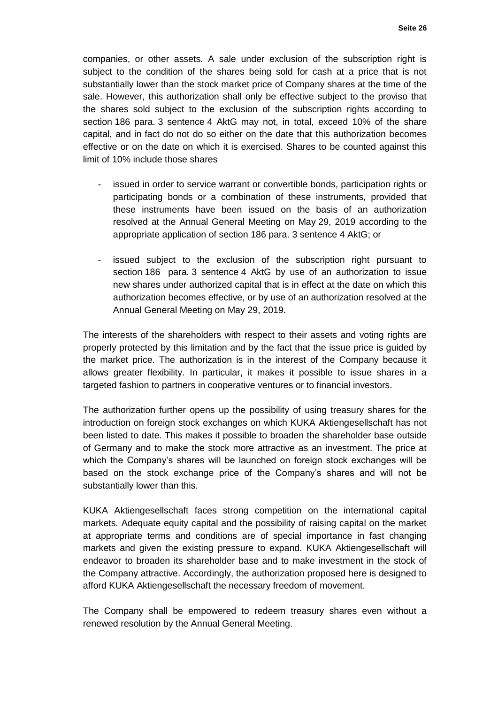companies, or other assets. A sale under exclusion of the subscription right is subject to the condition of the shares being sold for cash at a price that is not substantially lower than the stock market price of Company shares at the time of the sale. However, this authorization shall only be effective subject to the proviso that the shares sold subject to the exclusion of the subscription rights according to section 186 para. 3 sentence 4 AktG may not, in total, exceed 10% of the share capital, and in fact do not do so either on the date that this authorization becomes effective or on the date on which it is exercised. Shares to be counted against this limit of 10% include those shares

- issued in order to service warrant or convertible bonds, participation rights or participating bonds or a combination of these instruments, provided that these instruments have been issued on the basis of an authorization resolved at the Annual General Meeting on May 29, 2019 according to the appropriate application of section 186 para. 3 sentence 4 AktG; or
- issued subject to the exclusion of the subscription right pursuant to section 186 para. 3 sentence 4 AktG by use of an authorization to issue new shares under authorized capital that is in effect at the date on which this authorization becomes effective, or by use of an authorization resolved at the Annual General Meeting on May 29, 2019.

The interests of the shareholders with respect to their assets and voting rights are properly protected by this limitation and by the fact that the issue price is guided by the market price. The authorization is in the interest of the Company because it allows greater flexibility. In particular, it makes it possible to issue shares in a targeted fashion to partners in cooperative ventures or to financial investors.

The authorization further opens up the possibility of using treasury shares for the introduction on foreign stock exchanges on which KUKA Aktiengesellschaft has not been listed to date. This makes it possible to broaden the shareholder base outside of Germany and to make the stock more attractive as an investment. The price at which the Company's shares will be launched on foreign stock exchanges will be based on the stock exchange price of the Company's shares and will not be substantially lower than this.

KUKA Aktiengesellschaft faces strong competition on the international capital markets. Adequate equity capital and the possibility of raising capital on the market at appropriate terms and conditions are of special importance in fast changing markets and given the existing pressure to expand. KUKA Aktiengesellschaft will endeavor to broaden its shareholder base and to make investment in the stock of the Company attractive. Accordingly, the authorization proposed here is designed to afford KUKA Aktiengesellschaft the necessary freedom of movement.

The Company shall be empowered to redeem treasury shares even without a renewed resolution by the Annual General Meeting.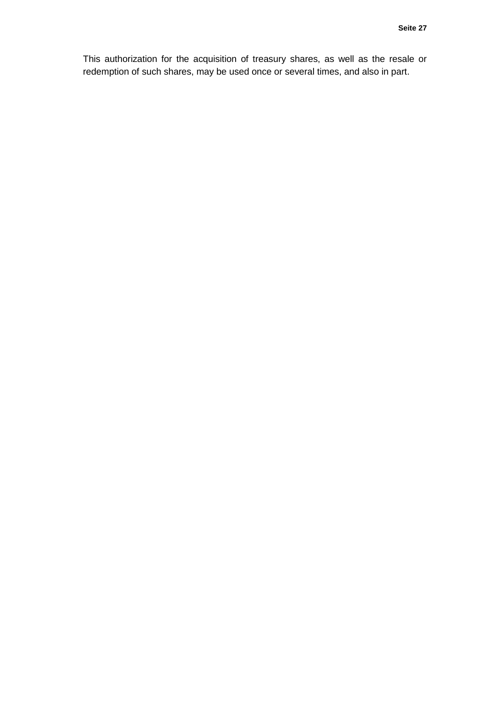This authorization for the acquisition of treasury shares, as well as the resale or redemption of such shares, may be used once or several times, and also in part.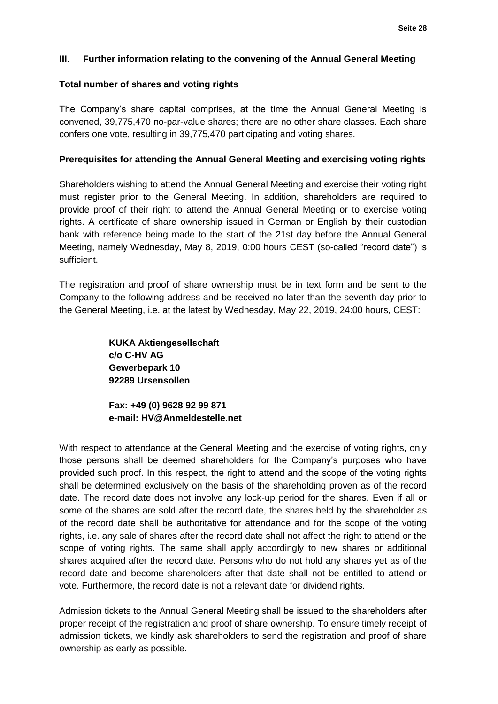### **III. Further information relating to the convening of the Annual General Meeting**

#### **Total number of shares and voting rights**

The Company's share capital comprises, at the time the Annual General Meeting is convened, 39,775,470 no-par-value shares; there are no other share classes. Each share confers one vote, resulting in 39,775,470 participating and voting shares.

### **Prerequisites for attending the Annual General Meeting and exercising voting rights**

Shareholders wishing to attend the Annual General Meeting and exercise their voting right must register prior to the General Meeting. In addition, shareholders are required to provide proof of their right to attend the Annual General Meeting or to exercise voting rights. A certificate of share ownership issued in German or English by their custodian bank with reference being made to the start of the 21st day before the Annual General Meeting, namely Wednesday, May 8, 2019, 0:00 hours CEST (so-called "record date") is sufficient.

The registration and proof of share ownership must be in text form and be sent to the Company to the following address and be received no later than the seventh day prior to the General Meeting, i.e. at the latest by Wednesday, May 22, 2019, 24:00 hours, CEST:

> **KUKA Aktiengesellschaft c/o C-HV AG Gewerbepark 10 92289 Ursensollen**

**Fax: +49 (0) 9628 92 99 871 e-mail: [HV@Anmeldestelle.net](mailto:HV@Anmeldestelle.net)**

With respect to attendance at the General Meeting and the exercise of voting rights, only those persons shall be deemed shareholders for the Company's purposes who have provided such proof. In this respect, the right to attend and the scope of the voting rights shall be determined exclusively on the basis of the shareholding proven as of the record date. The record date does not involve any lock-up period for the shares. Even if all or some of the shares are sold after the record date, the shares held by the shareholder as of the record date shall be authoritative for attendance and for the scope of the voting rights, i.e. any sale of shares after the record date shall not affect the right to attend or the scope of voting rights. The same shall apply accordingly to new shares or additional shares acquired after the record date. Persons who do not hold any shares yet as of the record date and become shareholders after that date shall not be entitled to attend or vote. Furthermore, the record date is not a relevant date for dividend rights.

Admission tickets to the Annual General Meeting shall be issued to the shareholders after proper receipt of the registration and proof of share ownership. To ensure timely receipt of admission tickets, we kindly ask shareholders to send the registration and proof of share ownership as early as possible.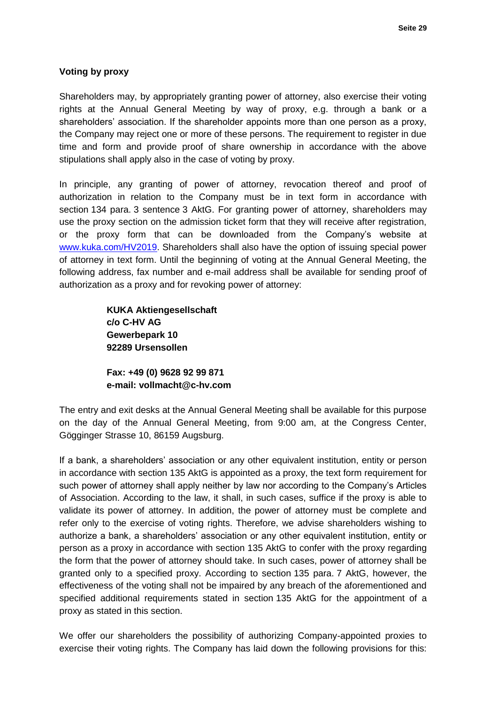## **Voting by proxy**

Shareholders may, by appropriately granting power of attorney, also exercise their voting rights at the Annual General Meeting by way of proxy, e.g. through a bank or a shareholders' association. If the shareholder appoints more than one person as a proxy, the Company may reject one or more of these persons. The requirement to register in due time and form and provide proof of share ownership in accordance with the above stipulations shall apply also in the case of voting by proxy.

In principle, any granting of power of attorney, revocation thereof and proof of authorization in relation to the Company must be in text form in accordance with section 134 para. 3 sentence 3 AktG. For granting power of attorney, shareholders may use the proxy section on the admission ticket form that they will receive after registration, or the proxy form that can be downloaded from the Company's website at [www.kuka.com/HV2019.](http://www.kuka.com/HV2019) Shareholders shall also have the option of issuing special power of attorney in text form. Until the beginning of voting at the Annual General Meeting, the following address, fax number and e-mail address shall be available for sending proof of authorization as a proxy and for revoking power of attorney:

> **KUKA Aktiengesellschaft c/o C-HV AG Gewerbepark 10 92289 Ursensollen**

**Fax: +49 (0) 9628 92 99 871 e-mail: vollmacht@c-hv.com**

The entry and exit desks at the Annual General Meeting shall be available for this purpose on the day of the Annual General Meeting, from 9:00 am, at the Congress Center, Gögginger Strasse 10, 86159 Augsburg.

If a bank, a shareholders' association or any other equivalent institution, entity or person in accordance with section 135 AktG is appointed as a proxy, the text form requirement for such power of attorney shall apply neither by law nor according to the Company's Articles of Association. According to the law, it shall, in such cases, suffice if the proxy is able to validate its power of attorney. In addition, the power of attorney must be complete and refer only to the exercise of voting rights. Therefore, we advise shareholders wishing to authorize a bank, a shareholders' association or any other equivalent institution, entity or person as a proxy in accordance with section 135 AktG to confer with the proxy regarding the form that the power of attorney should take. In such cases, power of attorney shall be granted only to a specified proxy. According to section 135 para. 7 AktG, however, the effectiveness of the voting shall not be impaired by any breach of the aforementioned and specified additional requirements stated in section 135 AktG for the appointment of a proxy as stated in this section.

We offer our shareholders the possibility of authorizing Company-appointed proxies to exercise their voting rights. The Company has laid down the following provisions for this: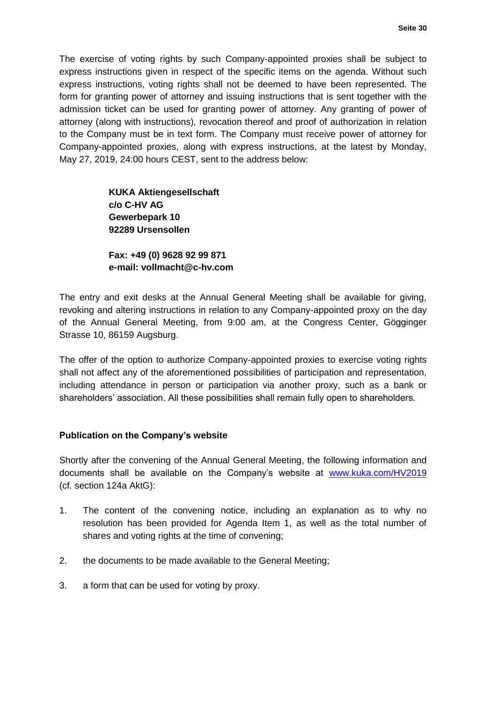The exercise of voting rights by such Company-appointed proxies shall be subject to express instructions given in respect of the specific items on the agenda. Without such express instructions, voting rights shall not be deemed to have been represented. The form for granting power of attorney and issuing instructions that is sent together with the admission ticket can be used for granting power of attorney. Any granting of power of attorney (along with instructions), revocation thereof and proof of authorization in relation to the Company must be in text form. The Company must receive power of attorney for Company-appointed proxies, along with express instructions, at the latest by Monday, May 27, 2019, 24:00 hours CEST, sent to the address below:

> **KUKA Aktiengesellschaft c/o C-HV AG Gewerbepark 10 92289 Ursensollen**

**Fax: +49 (0) 9628 92 99 871 e-mail: vollmacht@c-hv.com**

The entry and exit desks at the Annual General Meeting shall be available for giving, revoking and altering instructions in relation to any Company-appointed proxy on the day of the Annual General Meeting, from 9:00 am, at the Congress Center, Gögginger Strasse 10, 86159 Augsburg.

The offer of the option to authorize Company-appointed proxies to exercise voting rights shall not affect any of the aforementioned possibilities of participation and representation, including attendance in person or participation via another proxy, such as a bank or shareholders' association. All these possibilities shall remain fully open to shareholders.

## **Publication on the Company's website**

Shortly after the convening of the Annual General Meeting, the following information and documents shall be available on the Company's website at [www.kuka.com/HV2019](http://www.kuka.com/HV2019) (cf. section 124a AktG):

- 1. The content of the convening notice, including an explanation as to why no resolution has been provided for Agenda Item 1, as well as the total number of shares and voting rights at the time of convening;
- 2. the documents to be made available to the General Meeting;
- 3. a form that can be used for voting by proxy.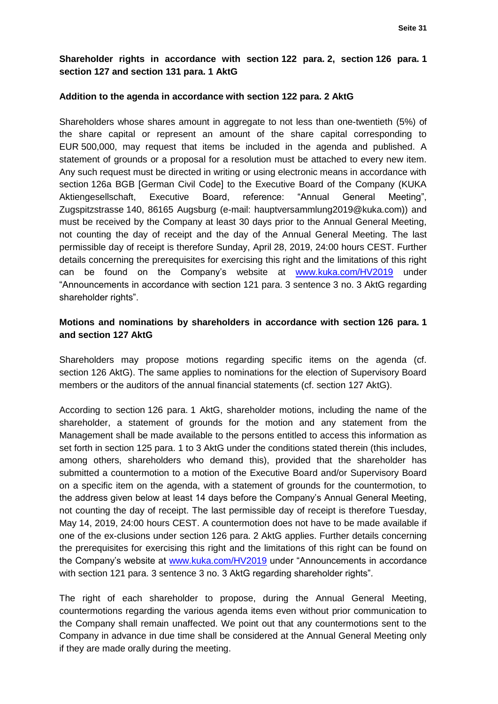## **Shareholder rights in accordance with section 122 para. 2, section 126 para. 1 section 127 and section 131 para. 1 AktG**

#### **Addition to the agenda in accordance with section 122 para. 2 AktG**

Shareholders whose shares amount in aggregate to not less than one-twentieth (5%) of the share capital or represent an amount of the share capital corresponding to EUR 500,000, may request that items be included in the agenda and published. A statement of grounds or a proposal for a resolution must be attached to every new item. Any such request must be directed in writing or using electronic means in accordance with section 126a BGB [German Civil Code] to the Executive Board of the Company (KUKA Aktiengesellschaft, Executive Board, reference: "Annual General Meeting", Zugspitzstrasse 140, 86165 Augsburg (e-mail: hauptversammlung2019@kuka.com)) and must be received by the Company at least 30 days prior to the Annual General Meeting, not counting the day of receipt and the day of the Annual General Meeting. The last permissible day of receipt is therefore Sunday, April 28, 2019, 24:00 hours CEST. Further details concerning the prerequisites for exercising this right and the limitations of this right can be found on the Company's website at [www.kuka.com/HV2019](http://www.kuka.com/HV2019) under "Announcements in accordance with section 121 para. 3 sentence 3 no. 3 AktG regarding shareholder rights".

## **Motions and nominations by shareholders in accordance with section 126 para. 1 and section 127 AktG**

Shareholders may propose motions regarding specific items on the agenda (cf. section 126 AktG). The same applies to nominations for the election of Supervisory Board members or the auditors of the annual financial statements (cf. section 127 AktG).

According to section 126 para. 1 AktG, shareholder motions, including the name of the shareholder, a statement of grounds for the motion and any statement from the Management shall be made available to the persons entitled to access this information as set forth in section 125 para. 1 to 3 AktG under the conditions stated therein (this includes, among others, shareholders who demand this), provided that the shareholder has submitted a countermotion to a motion of the Executive Board and/or Supervisory Board on a specific item on the agenda, with a statement of grounds for the countermotion, to the address given below at least 14 days before the Company's Annual General Meeting, not counting the day of receipt. The last permissible day of receipt is therefore Tuesday, May 14, 2019, 24:00 hours CEST. A countermotion does not have to be made available if one of the ex-clusions under section 126 para. 2 AktG applies. Further details concerning the prerequisites for exercising this right and the limitations of this right can be found on the Company's website at [www.kuka.com/HV2019](http://www.kuka.com/HV2019) under "Announcements in accordance with section 121 para. 3 sentence 3 no. 3 AktG regarding shareholder rights".

The right of each shareholder to propose, during the Annual General Meeting, countermotions regarding the various agenda items even without prior communication to the Company shall remain unaffected. We point out that any countermotions sent to the Company in advance in due time shall be considered at the Annual General Meeting only if they are made orally during the meeting.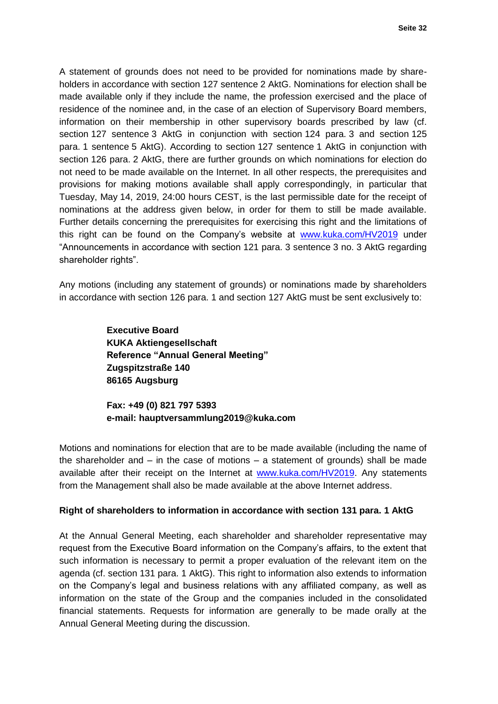A statement of grounds does not need to be provided for nominations made by shareholders in accordance with section 127 sentence 2 AktG. Nominations for election shall be made available only if they include the name, the profession exercised and the place of residence of the nominee and, in the case of an election of Supervisory Board members, information on their membership in other supervisory boards prescribed by law (cf. section 127 sentence 3 AktG in conjunction with section 124 para. 3 and section 125 para. 1 sentence 5 AktG). According to section 127 sentence 1 AktG in conjunction with section 126 para. 2 AktG, there are further grounds on which nominations for election do not need to be made available on the Internet. In all other respects, the prerequisites and provisions for making motions available shall apply correspondingly, in particular that Tuesday, May 14, 2019, 24:00 hours CEST, is the last permissible date for the receipt of nominations at the address given below, in order for them to still be made available. Further details concerning the prerequisites for exercising this right and the limitations of this right can be found on the Company's website at [www.kuka.com/HV2019](http://www.kuka.com/HV2019) under "Announcements in accordance with section 121 para. 3 sentence 3 no. 3 AktG regarding shareholder rights".

Any motions (including any statement of grounds) or nominations made by shareholders in accordance with section 126 para. 1 and section 127 AktG must be sent exclusively to:

> **Executive Board KUKA Aktiengesellschaft Reference "Annual General Meeting" Zugspitzstraße 140 86165 Augsburg**

**Fax: +49 (0) 821 797 5393 e-mail: hauptversammlung2019@kuka.com**

Motions and nominations for election that are to be made available (including the name of the shareholder and  $-$  in the case of motions  $-$  a statement of grounds) shall be made available after their receipt on the Internet at [www.kuka.com/HV2019.](http://www.kuka.com/HV2019) Any statements from the Management shall also be made available at the above Internet address.

## **Right of shareholders to information in accordance with section 131 para. 1 AktG**

At the Annual General Meeting, each shareholder and shareholder representative may request from the Executive Board information on the Company's affairs, to the extent that such information is necessary to permit a proper evaluation of the relevant item on the agenda (cf. section 131 para. 1 AktG). This right to information also extends to information on the Company's legal and business relations with any affiliated company, as well as information on the state of the Group and the companies included in the consolidated financial statements. Requests for information are generally to be made orally at the Annual General Meeting during the discussion.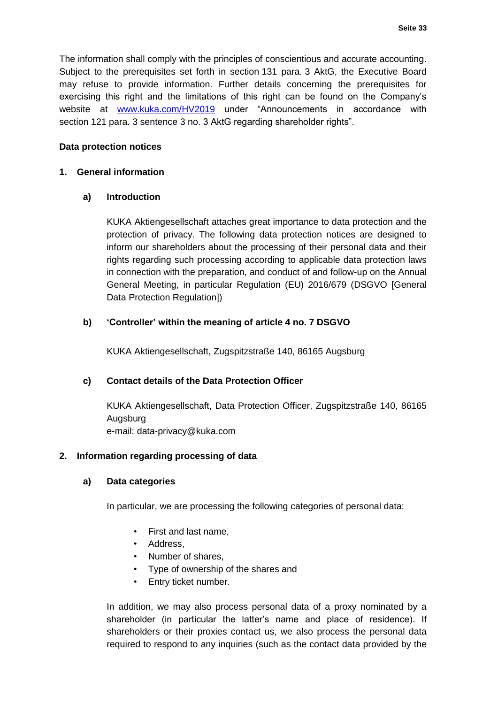The information shall comply with the principles of conscientious and accurate accounting. Subject to the prerequisites set forth in section 131 para. 3 AktG, the Executive Board may refuse to provide information. Further details concerning the prerequisites for exercising this right and the limitations of this right can be found on the Company's website at [www.kuka.com/HV2019](http://www.kuka.com/HV2019) under "Announcements in accordance with section 121 para. 3 sentence 3 no. 3 AktG regarding shareholder rights".

## **Data protection notices**

## **1. General information**

## **a) Introduction**

KUKA Aktiengesellschaft attaches great importance to data protection and the protection of privacy. The following data protection notices are designed to inform our shareholders about the processing of their personal data and their rights regarding such processing according to applicable data protection laws in connection with the preparation, and conduct of and follow-up on the Annual General Meeting, in particular Regulation (EU) 2016/679 (DSGVO [General Data Protection Regulation])

## **b) 'Controller' within the meaning of article 4 no. 7 DSGVO**

KUKA Aktiengesellschaft, Zugspitzstraße 140, 86165 Augsburg

## **c) Contact details of the Data Protection Officer**

KUKA Aktiengesellschaft, Data Protection Officer, Zugspitzstraße 140, 86165 Augsburg e-mail: data-privacy@kuka.com

## **2. Information regarding processing of data**

#### **a) Data categories**

In particular, we are processing the following categories of personal data:

- First and last name,
- Address,
- Number of shares,
- Type of ownership of the shares and
- Entry ticket number.

In addition, we may also process personal data of a proxy nominated by a shareholder (in particular the latter's name and place of residence). If shareholders or their proxies contact us, we also process the personal data required to respond to any inquiries (such as the contact data provided by the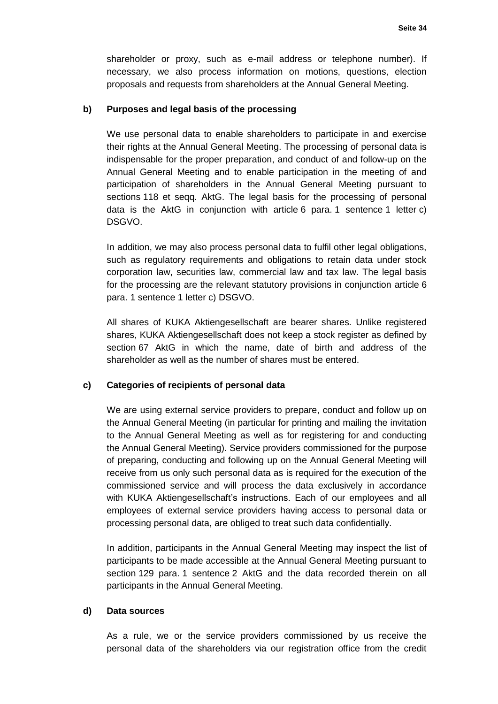shareholder or proxy, such as e-mail address or telephone number). If necessary, we also process information on motions, questions, election proposals and requests from shareholders at the Annual General Meeting.

### **b) Purposes and legal basis of the processing**

We use personal data to enable shareholders to participate in and exercise their rights at the Annual General Meeting. The processing of personal data is indispensable for the proper preparation, and conduct of and follow-up on the Annual General Meeting and to enable participation in the meeting of and participation of shareholders in the Annual General Meeting pursuant to sections 118 et seqq. AktG. The legal basis for the processing of personal data is the AktG in conjunction with article 6 para. 1 sentence 1 letter c) DSGVO.

In addition, we may also process personal data to fulfil other legal obligations, such as regulatory requirements and obligations to retain data under stock corporation law, securities law, commercial law and tax law. The legal basis for the processing are the relevant statutory provisions in conjunction article 6 para. 1 sentence 1 letter c) DSGVO.

All shares of KUKA Aktiengesellschaft are bearer shares. Unlike registered shares, KUKA Aktiengesellschaft does not keep a stock register as defined by section 67 AktG in which the name, date of birth and address of the shareholder as well as the number of shares must be entered.

#### **c) Categories of recipients of personal data**

We are using external service providers to prepare, conduct and follow up on the Annual General Meeting (in particular for printing and mailing the invitation to the Annual General Meeting as well as for registering for and conducting the Annual General Meeting). Service providers commissioned for the purpose of preparing, conducting and following up on the Annual General Meeting will receive from us only such personal data as is required for the execution of the commissioned service and will process the data exclusively in accordance with KUKA Aktiengesellschaft's instructions. Each of our employees and all employees of external service providers having access to personal data or processing personal data, are obliged to treat such data confidentially.

In addition, participants in the Annual General Meeting may inspect the list of participants to be made accessible at the Annual General Meeting pursuant to section 129 para. 1 sentence 2 AktG and the data recorded therein on all participants in the Annual General Meeting.

#### **d) Data sources**

As a rule, we or the service providers commissioned by us receive the personal data of the shareholders via our registration office from the credit